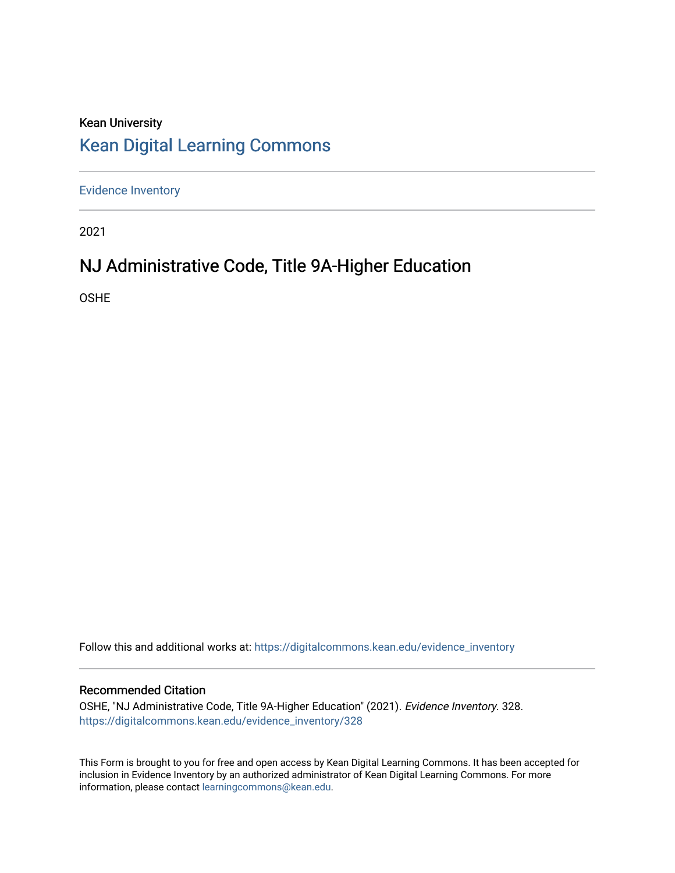# Kean University [Kean Digital Learning Commons](https://digitalcommons.kean.edu/)

[Evidence Inventory](https://digitalcommons.kean.edu/evidence_inventory) 

2021

# NJ Administrative Code, Title 9A-Higher Education

OSHE

Follow this and additional works at: [https://digitalcommons.kean.edu/evidence\\_inventory](https://digitalcommons.kean.edu/evidence_inventory?utm_source=digitalcommons.kean.edu%2Fevidence_inventory%2F328&utm_medium=PDF&utm_campaign=PDFCoverPages)

### Recommended Citation

OSHE, "NJ Administrative Code, Title 9A-Higher Education" (2021). Evidence Inventory. 328. [https://digitalcommons.kean.edu/evidence\\_inventory/328](https://digitalcommons.kean.edu/evidence_inventory/328?utm_source=digitalcommons.kean.edu%2Fevidence_inventory%2F328&utm_medium=PDF&utm_campaign=PDFCoverPages)

This Form is brought to you for free and open access by Kean Digital Learning Commons. It has been accepted for inclusion in Evidence Inventory by an authorized administrator of Kean Digital Learning Commons. For more information, please contact [learningcommons@kean.edu](mailto:learningcommons@kean.edu).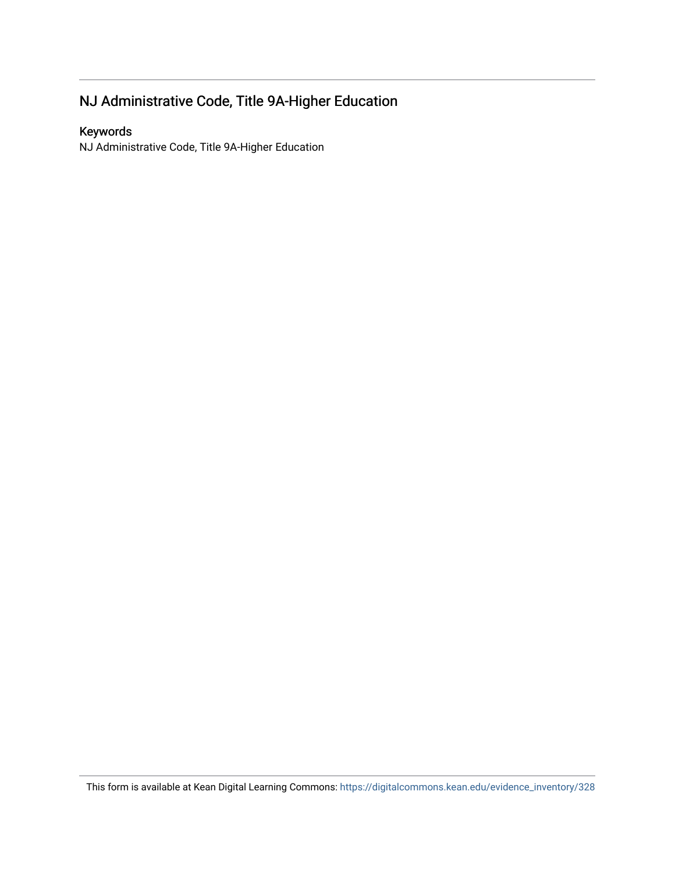# NJ Administrative Code, Title 9A-Higher Education

# Keywords

NJ Administrative Code, Title 9A-Higher Education

This form is available at Kean Digital Learning Commons: [https://digitalcommons.kean.edu/evidence\\_inventory/328](https://digitalcommons.kean.edu/evidence_inventory/328)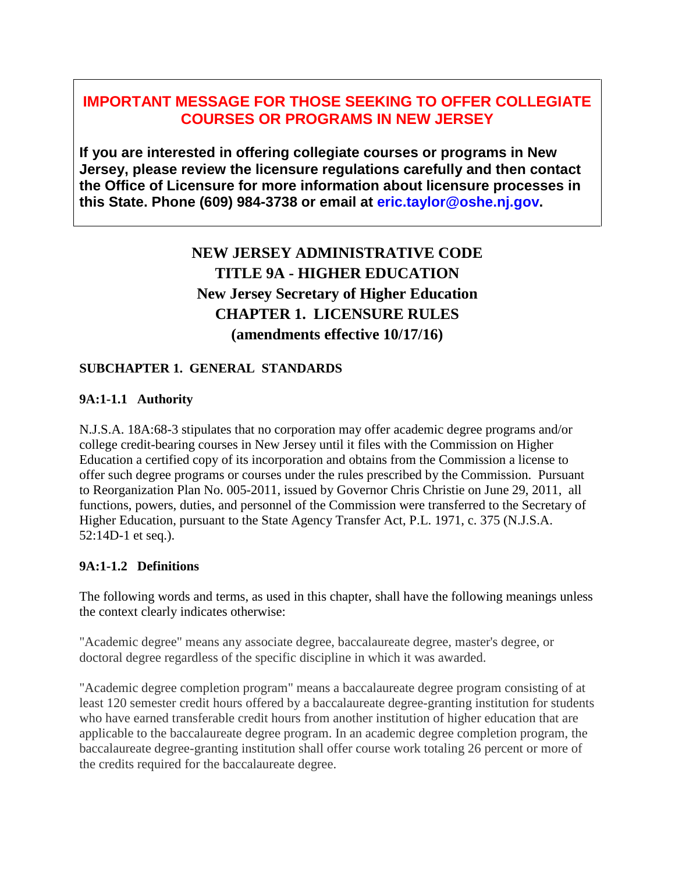# **IMPORTANT MESSAGE FOR THOSE SEEKING TO OFFER COLLEGIATE COURSES OR PROGRAMS IN NEW JERSEY**

**If you are interested in offering collegiate courses or programs in New Jersey, please review the licensure regulations carefully and then contact the Office of Licensure for more information about licensure processes in this State. Phone (609) 984-3738 or email at eric.taylor@oshe.nj.gov.**

# **NEW JERSEY ADMINISTRATIVE CODE TITLE 9A - HIGHER EDUCATION New Jersey Secretary of Higher Education CHAPTER 1. LICENSURE RULES (amendments effective 10/17/16)**

# **SUBCHAPTER 1. GENERAL STANDARDS**

# **9A:1-1.1 Authority**

N.J.S.A. 18A:68-3 stipulates that no corporation may offer academic degree programs and/or college credit-bearing courses in New Jersey until it files with the Commission on Higher Education a certified copy of its incorporation and obtains from the Commission a license to offer such degree programs or courses under the rules prescribed by the Commission. Pursuant to Reorganization Plan No. 005-2011, issued by Governor Chris Christie on June 29, 2011, all functions, powers, duties, and personnel of the Commission were transferred to the Secretary of Higher Education, pursuant to the State Agency Transfer Act, P.L. 1971, c. 375 (N.J.S.A. 52:14D-1 et seq.).

# **9A:1-1.2 Definitions**

The following words and terms, as used in this chapter, shall have the following meanings unless the context clearly indicates otherwise:

"Academic degree" means any associate degree, baccalaureate degree, master's degree, or doctoral degree regardless of the specific discipline in which it was awarded.

"Academic degree completion program" means a baccalaureate degree program consisting of at least 120 semester credit hours offered by a baccalaureate degree-granting institution for students who have earned transferable credit hours from another institution of higher education that are applicable to the baccalaureate degree program. In an academic degree completion program, the baccalaureate degree-granting institution shall offer course work totaling 26 percent or more of the credits required for the baccalaureate degree.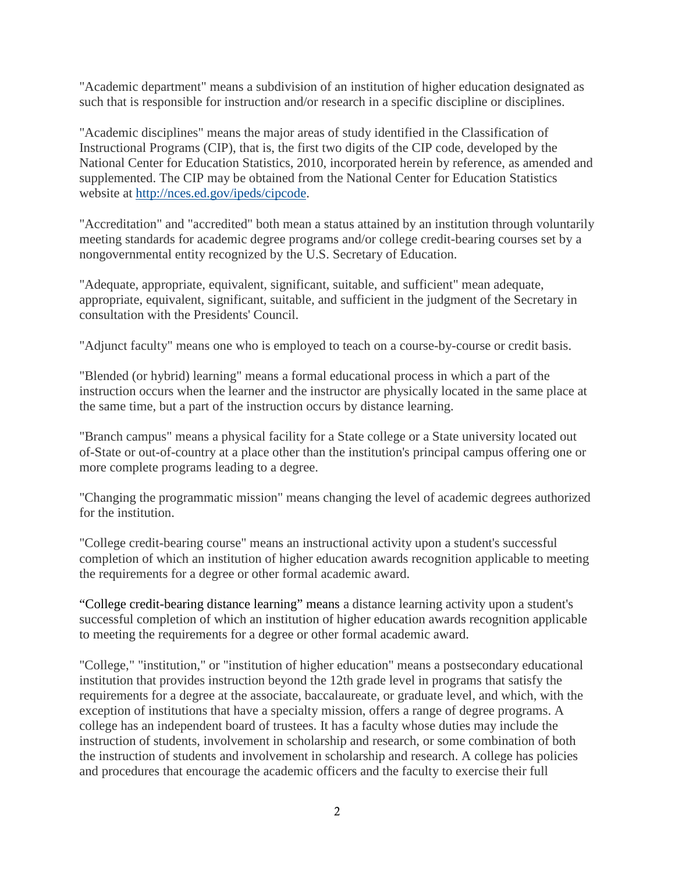"Academic department" means a subdivision of an institution of higher education designated as such that is responsible for instruction and/or research in a specific discipline or disciplines.

"Academic disciplines" means the major areas of study identified in the Classification of Instructional Programs (CIP), that is, the first two digits of the CIP code, developed by the National Center for Education Statistics, 2010, incorporated herein by reference, as amended and supplemented. The CIP may be obtained from the National Center for Education Statistics website at [http://nces.ed.gov/ipeds/cipcode.](http://nces.ed.gov/ipeds/cipcode)

"Accreditation" and "accredited" both mean a status attained by an institution through voluntarily meeting standards for academic degree programs and/or college credit-bearing courses set by a nongovernmental entity recognized by the U.S. Secretary of Education.

"Adequate, appropriate, equivalent, significant, suitable, and sufficient" mean adequate, appropriate, equivalent, significant, suitable, and sufficient in the judgment of the Secretary in consultation with the Presidents' Council.

"Adjunct faculty" means one who is employed to teach on a course-by-course or credit basis.

"Blended (or hybrid) learning" means a formal educational process in which a part of the instruction occurs when the learner and the instructor are physically located in the same place at the same time, but a part of the instruction occurs by distance learning.

"Branch campus" means a physical facility for a State college or a State university located out of-State or out-of-country at a place other than the institution's principal campus offering one or more complete programs leading to a degree.

"Changing the programmatic mission" means changing the level of academic degrees authorized for the institution.

"College credit-bearing course" means an instructional activity upon a student's successful completion of which an institution of higher education awards recognition applicable to meeting the requirements for a degree or other formal academic award.

"College credit-bearing distance learning" means a distance learning activity upon a student's successful completion of which an institution of higher education awards recognition applicable to meeting the requirements for a degree or other formal academic award.

"College," "institution," or "institution of higher education" means a postsecondary educational institution that provides instruction beyond the 12th grade level in programs that satisfy the requirements for a degree at the associate, baccalaureate, or graduate level, and which, with the exception of institutions that have a specialty mission, offers a range of degree programs. A college has an independent board of trustees. It has a faculty whose duties may include the instruction of students, involvement in scholarship and research, or some combination of both the instruction of students and involvement in scholarship and research. A college has policies and procedures that encourage the academic officers and the faculty to exercise their full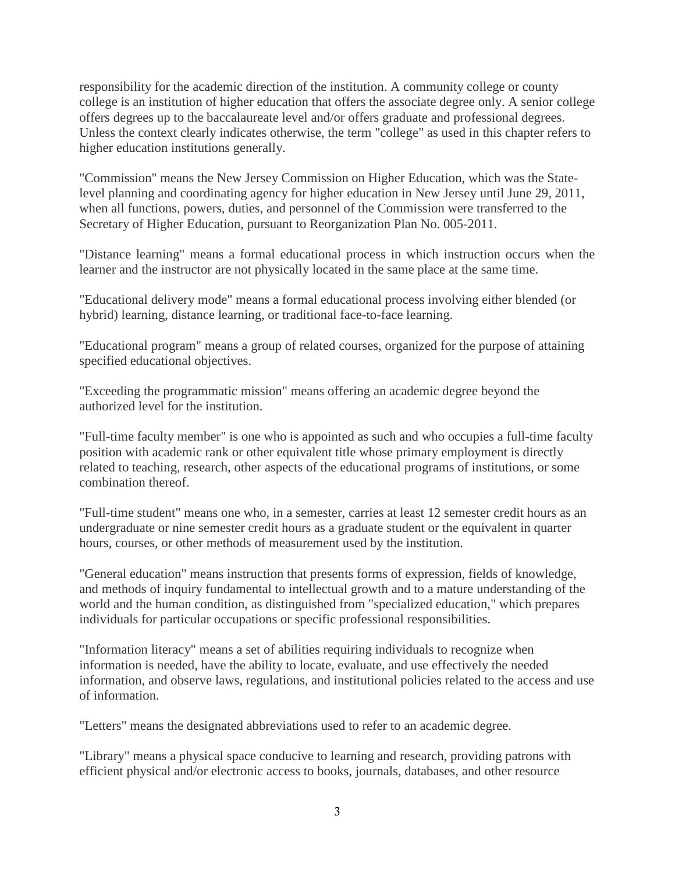responsibility for the academic direction of the institution. A community college or county college is an institution of higher education that offers the associate degree only. A senior college offers degrees up to the baccalaureate level and/or offers graduate and professional degrees. Unless the context clearly indicates otherwise, the term "college" as used in this chapter refers to higher education institutions generally.

"Commission" means the New Jersey Commission on Higher Education, which was the Statelevel planning and coordinating agency for higher education in New Jersey until June 29, 2011, when all functions, powers, duties, and personnel of the Commission were transferred to the Secretary of Higher Education, pursuant to Reorganization Plan No. 005-2011.

"Distance learning" means a formal educational process in which instruction occurs when the learner and the instructor are not physically located in the same place at the same time.

"Educational delivery mode" means a formal educational process involving either blended (or hybrid) learning, distance learning, or traditional face-to-face learning.

"Educational program" means a group of related courses, organized for the purpose of attaining specified educational objectives.

"Exceeding the programmatic mission" means offering an academic degree beyond the authorized level for the institution.

"Full-time faculty member" is one who is appointed as such and who occupies a full-time faculty position with academic rank or other equivalent title whose primary employment is directly related to teaching, research, other aspects of the educational programs of institutions, or some combination thereof.

"Full-time student" means one who, in a semester, carries at least 12 semester credit hours as an undergraduate or nine semester credit hours as a graduate student or the equivalent in quarter hours, courses, or other methods of measurement used by the institution.

"General education" means instruction that presents forms of expression, fields of knowledge, and methods of inquiry fundamental to intellectual growth and to a mature understanding of the world and the human condition, as distinguished from "specialized education," which prepares individuals for particular occupations or specific professional responsibilities.

"Information literacy" means a set of abilities requiring individuals to recognize when information is needed, have the ability to locate, evaluate, and use effectively the needed information, and observe laws, regulations, and institutional policies related to the access and use of information.

"Letters" means the designated abbreviations used to refer to an academic degree.

"Library" means a physical space conducive to learning and research, providing patrons with efficient physical and/or electronic access to books, journals, databases, and other resource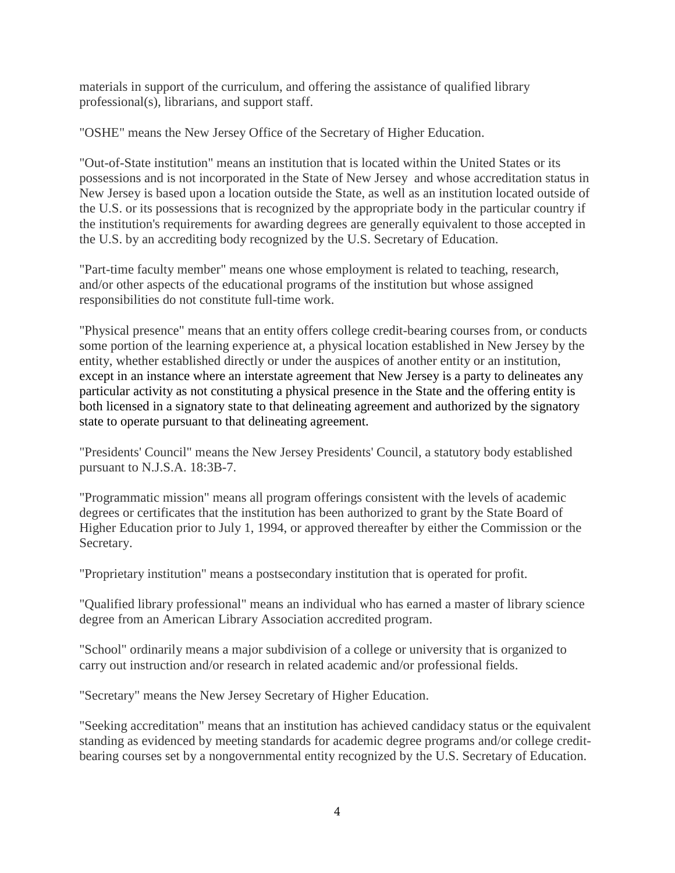materials in support of the curriculum, and offering the assistance of qualified library professional(s), librarians, and support staff.

"OSHE" means the New Jersey Office of the Secretary of Higher Education.

"Out-of-State institution" means an institution that is located within the United States or its possessions and is not incorporated in the State of New Jersey and whose accreditation status in New Jersey is based upon a location outside the State, as well as an institution located outside of the U.S. or its possessions that is recognized by the appropriate body in the particular country if the institution's requirements for awarding degrees are generally equivalent to those accepted in the U.S. by an accrediting body recognized by the U.S. Secretary of Education.

"Part-time faculty member" means one whose employment is related to teaching, research, and/or other aspects of the educational programs of the institution but whose assigned responsibilities do not constitute full-time work.

"Physical presence" means that an entity offers college credit-bearing courses from, or conducts some portion of the learning experience at, a physical location established in New Jersey by the entity, whether established directly or under the auspices of another entity or an institution, except in an instance where an interstate agreement that New Jersey is a party to delineates any particular activity as not constituting a physical presence in the State and the offering entity is both licensed in a signatory state to that delineating agreement and authorized by the signatory state to operate pursuant to that delineating agreement.

"Presidents' Council" means the New Jersey Presidents' Council, a statutory body established pursuant to N.J.S.A. 18:3B-7.

"Programmatic mission" means all program offerings consistent with the levels of academic degrees or certificates that the institution has been authorized to grant by the State Board of Higher Education prior to July 1, 1994, or approved thereafter by either the Commission or the Secretary.

"Proprietary institution" means a postsecondary institution that is operated for profit.

"Qualified library professional" means an individual who has earned a master of library science degree from an American Library Association accredited program.

"School" ordinarily means a major subdivision of a college or university that is organized to carry out instruction and/or research in related academic and/or professional fields.

"Secretary" means the New Jersey Secretary of Higher Education.

"Seeking accreditation" means that an institution has achieved candidacy status or the equivalent standing as evidenced by meeting standards for academic degree programs and/or college creditbearing courses set by a nongovernmental entity recognized by the U.S. Secretary of Education.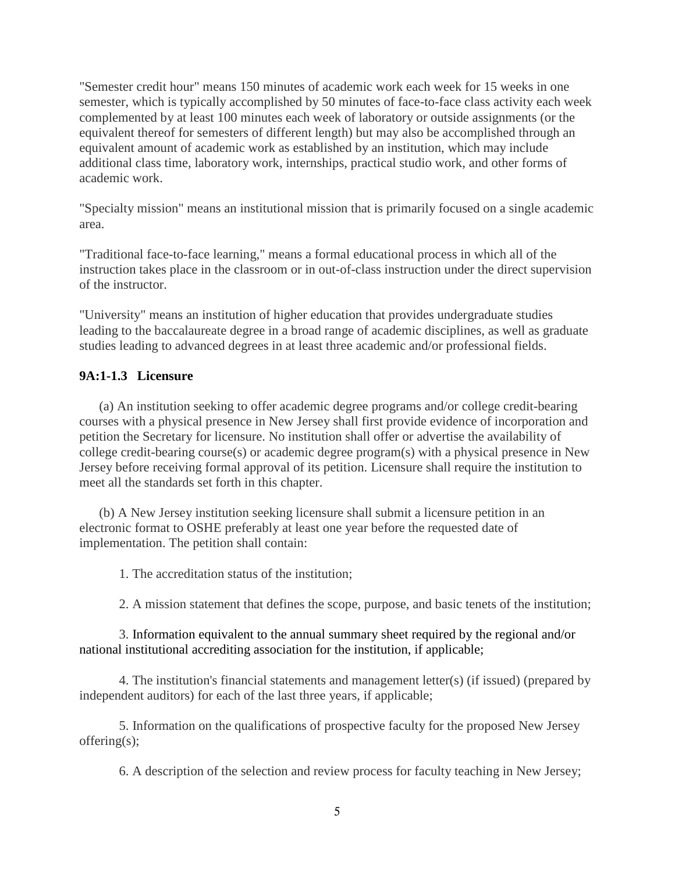"Semester credit hour" means 150 minutes of academic work each week for 15 weeks in one semester, which is typically accomplished by 50 minutes of face-to-face class activity each week complemented by at least 100 minutes each week of laboratory or outside assignments (or the equivalent thereof for semesters of different length) but may also be accomplished through an equivalent amount of academic work as established by an institution, which may include additional class time, laboratory work, internships, practical studio work, and other forms of academic work.

"Specialty mission" means an institutional mission that is primarily focused on a single academic area.

"Traditional face-to-face learning," means a formal educational process in which all of the instruction takes place in the classroom or in out-of-class instruction under the direct supervision of the instructor.

"University" means an institution of higher education that provides undergraduate studies leading to the baccalaureate degree in a broad range of academic disciplines, as well as graduate studies leading to advanced degrees in at least three academic and/or professional fields.

# **9A:1-1.3 Licensure**

(a) An institution seeking to offer academic degree programs and/or college credit-bearing courses with a physical presence in New Jersey shall first provide evidence of incorporation and petition the Secretary for licensure. No institution shall offer or advertise the availability of college credit-bearing course(s) or academic degree program(s) with a physical presence in New Jersey before receiving formal approval of its petition. Licensure shall require the institution to meet all the standards set forth in this chapter.

(b) A New Jersey institution seeking licensure shall submit a licensure petition in an electronic format to OSHE preferably at least one year before the requested date of implementation. The petition shall contain:

1. The accreditation status of the institution;

2. A mission statement that defines the scope, purpose, and basic tenets of the institution;

3. Information equivalent to the annual summary sheet required by the regional and/or national institutional accrediting association for the institution, if applicable;

4. The institution's financial statements and management letter(s) (if issued) (prepared by independent auditors) for each of the last three years, if applicable;

5. Information on the qualifications of prospective faculty for the proposed New Jersey offering(s);

6. A description of the selection and review process for faculty teaching in New Jersey;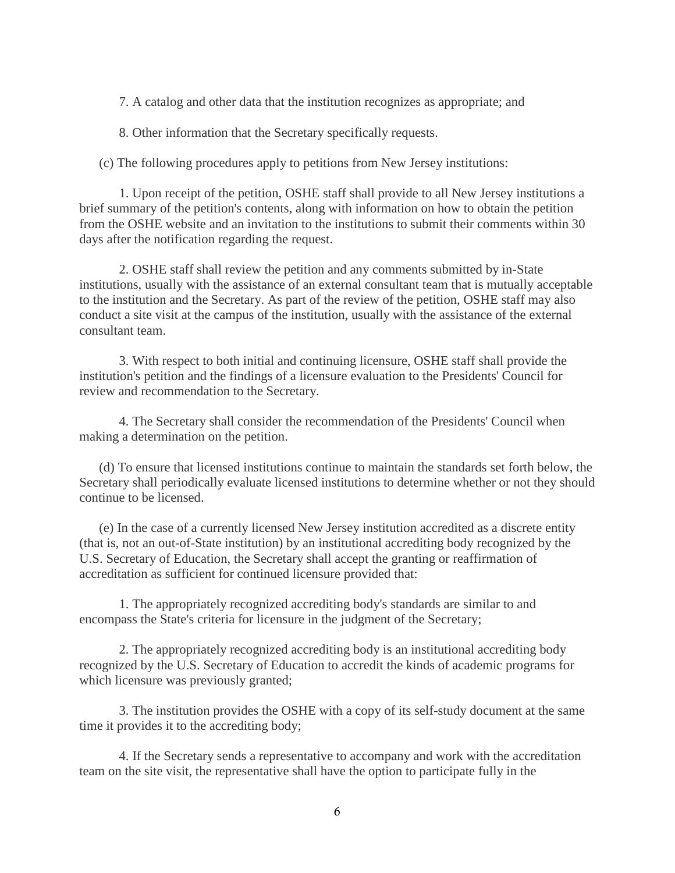7. A catalog and other data that the institution recognizes as appropriate; and

8. Other information that the Secretary specifically requests.

(c) The following procedures apply to petitions from New Jersey institutions:

1. Upon receipt of the petition, OSHE staff shall provide to all New Jersey institutions a brief summary of the petition's contents, along with information on how to obtain the petition from the OSHE website and an invitation to the institutions to submit their comments within 30 days after the notification regarding the request.

2. OSHE staff shall review the petition and any comments submitted by in-State institutions, usually with the assistance of an external consultant team that is mutually acceptable to the institution and the Secretary. As part of the review of the petition, OSHE staff may also conduct a site visit at the campus of the institution, usually with the assistance of the external consultant team.

3. With respect to both initial and continuing licensure, OSHE staff shall provide the institution's petition and the findings of a licensure evaluation to the Presidents' Council for review and recommendation to the Secretary.

4. The Secretary shall consider the recommendation of the Presidents' Council when making a determination on the petition.

(d) To ensure that licensed institutions continue to maintain the standards set forth below, the Secretary shall periodically evaluate licensed institutions to determine whether or not they should continue to be licensed.

(e) In the case of a currently licensed New Jersey institution accredited as a discrete entity (that is, not an out-of-State institution) by an institutional accrediting body recognized by the U.S. Secretary of Education, the Secretary shall accept the granting or reaffirmation of accreditation as sufficient for continued licensure provided that:

1. The appropriately recognized accrediting body's standards are similar to and encompass the State's criteria for licensure in the judgment of the Secretary;

2. The appropriately recognized accrediting body is an institutional accrediting body recognized by the U.S. Secretary of Education to accredit the kinds of academic programs for which licensure was previously granted;

3. The institution provides the OSHE with a copy of its self-study document at the same time it provides it to the accrediting body;

4. If the Secretary sends a representative to accompany and work with the accreditation team on the site visit, the representative shall have the option to participate fully in the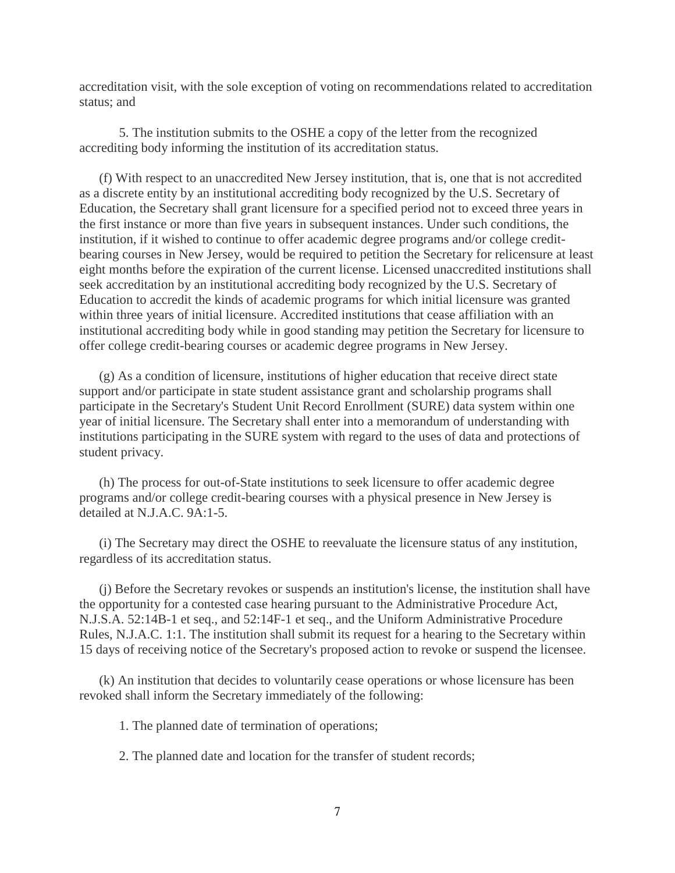accreditation visit, with the sole exception of voting on recommendations related to accreditation status; and

5. The institution submits to the OSHE a copy of the letter from the recognized accrediting body informing the institution of its accreditation status.

(f) With respect to an unaccredited New Jersey institution, that is, one that is not accredited as a discrete entity by an institutional accrediting body recognized by the U.S. Secretary of Education, the Secretary shall grant licensure for a specified period not to exceed three years in the first instance or more than five years in subsequent instances. Under such conditions, the institution, if it wished to continue to offer academic degree programs and/or college creditbearing courses in New Jersey, would be required to petition the Secretary for relicensure at least eight months before the expiration of the current license. Licensed unaccredited institutions shall seek accreditation by an institutional accrediting body recognized by the U.S. Secretary of Education to accredit the kinds of academic programs for which initial licensure was granted within three years of initial licensure. Accredited institutions that cease affiliation with an institutional accrediting body while in good standing may petition the Secretary for licensure to offer college credit-bearing courses or academic degree programs in New Jersey.

(g) As a condition of licensure, institutions of higher education that receive direct state support and/or participate in state student assistance grant and scholarship programs shall participate in the Secretary's Student Unit Record Enrollment (SURE) data system within one year of initial licensure. The Secretary shall enter into a memorandum of understanding with institutions participating in the SURE system with regard to the uses of data and protections of student privacy.

(h) The process for out-of-State institutions to seek licensure to offer academic degree programs and/or college credit-bearing courses with a physical presence in New Jersey is detailed at N.J.A.C. 9A:1-5.

(i) The Secretary may direct the OSHE to reevaluate the licensure status of any institution, regardless of its accreditation status.

(j) Before the Secretary revokes or suspends an institution's license, the institution shall have the opportunity for a contested case hearing pursuant to the Administrative Procedure Act, N.J.S.A. 52:14B-1 et seq., and 52:14F-1 et seq., and the Uniform Administrative Procedure Rules, N.J.A.C. 1:1. The institution shall submit its request for a hearing to the Secretary within 15 days of receiving notice of the Secretary's proposed action to revoke or suspend the licensee.

(k) An institution that decides to voluntarily cease operations or whose licensure has been revoked shall inform the Secretary immediately of the following:

1. The planned date of termination of operations;

2. The planned date and location for the transfer of student records;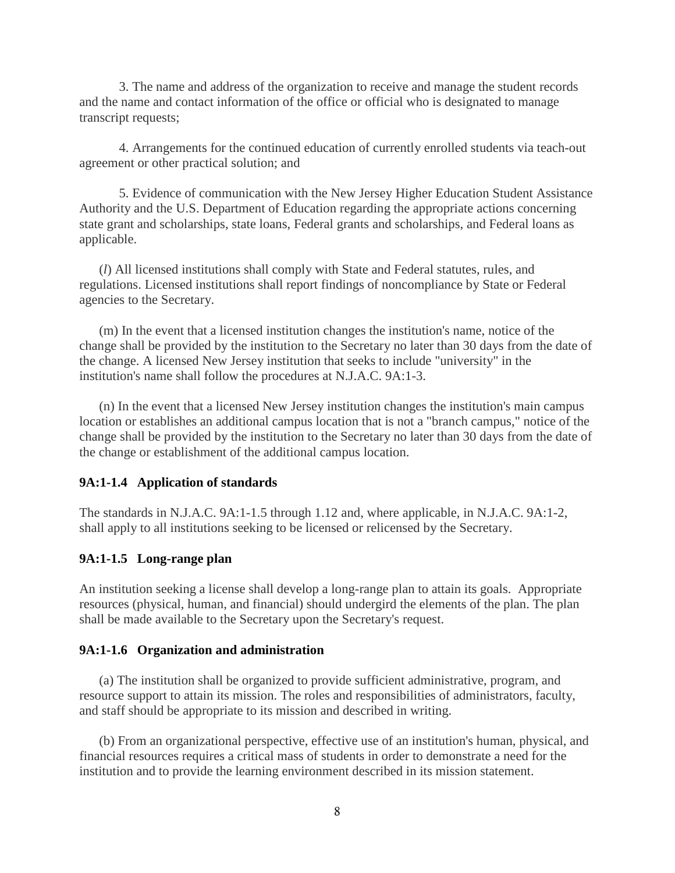3. The name and address of the organization to receive and manage the student records and the name and contact information of the office or official who is designated to manage transcript requests;

4. Arrangements for the continued education of currently enrolled students via teach-out agreement or other practical solution; and

5. Evidence of communication with the New Jersey Higher Education Student Assistance Authority and the U.S. Department of Education regarding the appropriate actions concerning state grant and scholarships, state loans, Federal grants and scholarships, and Federal loans as applicable.

(*l*) All licensed institutions shall comply with State and Federal statutes, rules, and regulations. Licensed institutions shall report findings of noncompliance by State or Federal agencies to the Secretary.

(m) In the event that a licensed institution changes the institution's name, notice of the change shall be provided by the institution to the Secretary no later than 30 days from the date of the change. A licensed New Jersey institution that seeks to include "university" in the institution's name shall follow the procedures at N.J.A.C. 9A:1-3.

(n) In the event that a licensed New Jersey institution changes the institution's main campus location or establishes an additional campus location that is not a "branch campus," notice of the change shall be provided by the institution to the Secretary no later than 30 days from the date of the change or establishment of the additional campus location.

#### **9A:1-1.4 Application of standards**

The standards in N.J.A.C. 9A:1-1.5 through 1.12 and, where applicable, in N.J.A.C. 9A:1-2, shall apply to all institutions seeking to be licensed or relicensed by the Secretary.

### **9A:1-1.5 Long-range plan**

An institution seeking a license shall develop a long-range plan to attain its goals. Appropriate resources (physical, human, and financial) should undergird the elements of the plan. The plan shall be made available to the Secretary upon the Secretary's request.

### **9A:1-1.6 Organization and administration**

(a) The institution shall be organized to provide sufficient administrative, program, and resource support to attain its mission. The roles and responsibilities of administrators, faculty, and staff should be appropriate to its mission and described in writing.

(b) From an organizational perspective, effective use of an institution's human, physical, and financial resources requires a critical mass of students in order to demonstrate a need for the institution and to provide the learning environment described in its mission statement.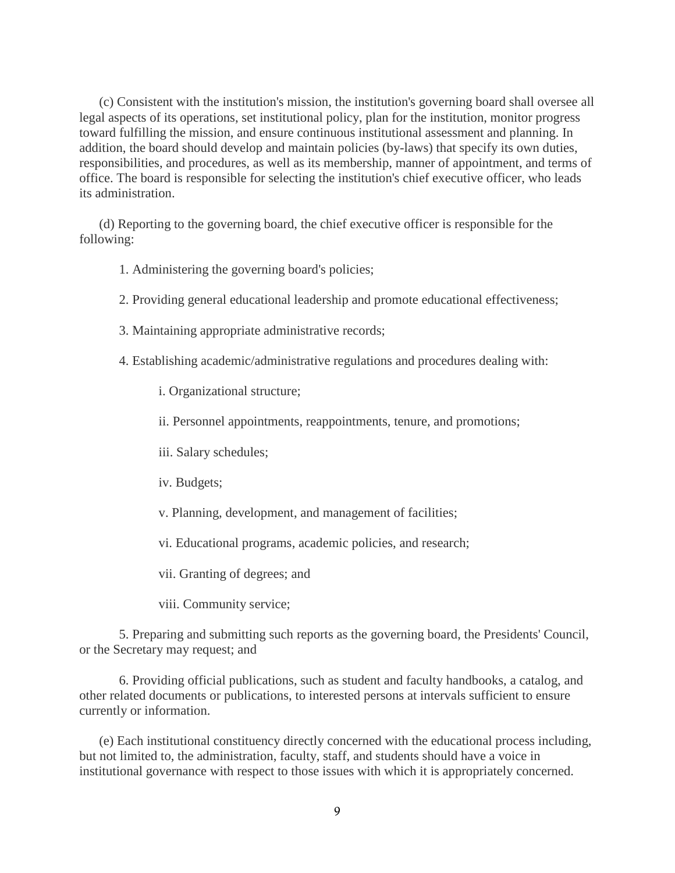(c) Consistent with the institution's mission, the institution's governing board shall oversee all legal aspects of its operations, set institutional policy, plan for the institution, monitor progress toward fulfilling the mission, and ensure continuous institutional assessment and planning. In addition, the board should develop and maintain policies (by-laws) that specify its own duties, responsibilities, and procedures, as well as its membership, manner of appointment, and terms of office. The board is responsible for selecting the institution's chief executive officer, who leads its administration.

(d) Reporting to the governing board, the chief executive officer is responsible for the following:

- 1. Administering the governing board's policies;
- 2. Providing general educational leadership and promote educational effectiveness;
- 3. Maintaining appropriate administrative records;
- 4. Establishing academic/administrative regulations and procedures dealing with:
	- i. Organizational structure;
	- ii. Personnel appointments, reappointments, tenure, and promotions;
	- iii. Salary schedules;
	- iv. Budgets;
	- v. Planning, development, and management of facilities;
	- vi. Educational programs, academic policies, and research;

vii. Granting of degrees; and

viii. Community service;

5. Preparing and submitting such reports as the governing board, the Presidents' Council, or the Secretary may request; and

6. Providing official publications, such as student and faculty handbooks, a catalog, and other related documents or publications, to interested persons at intervals sufficient to ensure currently or information.

(e) Each institutional constituency directly concerned with the educational process including, but not limited to, the administration, faculty, staff, and students should have a voice in institutional governance with respect to those issues with which it is appropriately concerned.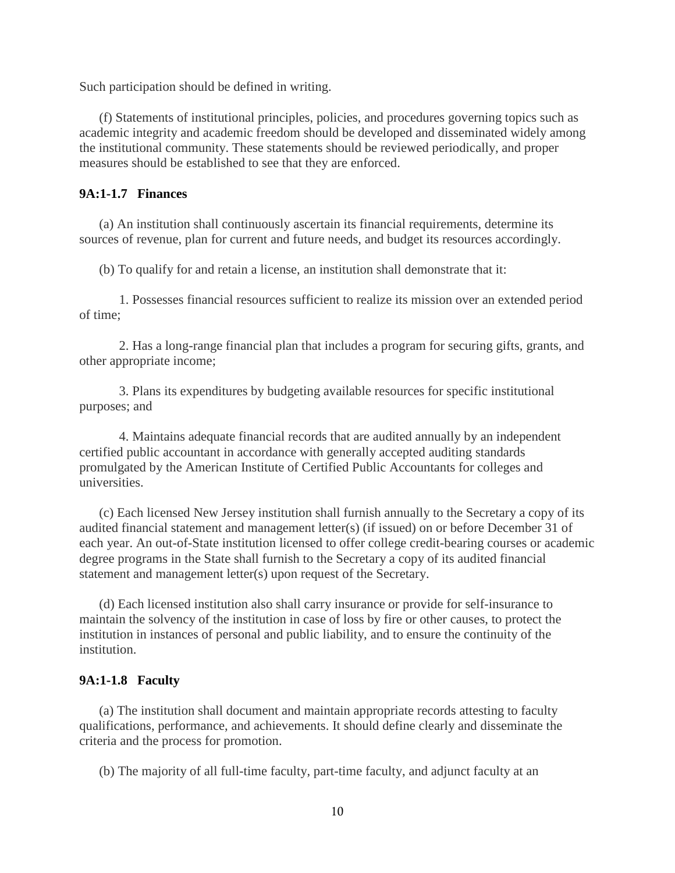Such participation should be defined in writing.

(f) Statements of institutional principles, policies, and procedures governing topics such as academic integrity and academic freedom should be developed and disseminated widely among the institutional community. These statements should be reviewed periodically, and proper measures should be established to see that they are enforced.

### **9A:1-1.7 Finances**

(a) An institution shall continuously ascertain its financial requirements, determine its sources of revenue, plan for current and future needs, and budget its resources accordingly.

(b) To qualify for and retain a license, an institution shall demonstrate that it:

1. Possesses financial resources sufficient to realize its mission over an extended period of time;

2. Has a long-range financial plan that includes a program for securing gifts, grants, and other appropriate income;

3. Plans its expenditures by budgeting available resources for specific institutional purposes; and

4. Maintains adequate financial records that are audited annually by an independent certified public accountant in accordance with generally accepted auditing standards promulgated by the American Institute of Certified Public Accountants for colleges and universities.

(c) Each licensed New Jersey institution shall furnish annually to the Secretary a copy of its audited financial statement and management letter(s) (if issued) on or before December 31 of each year. An out-of-State institution licensed to offer college credit-bearing courses or academic degree programs in the State shall furnish to the Secretary a copy of its audited financial statement and management letter(s) upon request of the Secretary.

(d) Each licensed institution also shall carry insurance or provide for self-insurance to maintain the solvency of the institution in case of loss by fire or other causes, to protect the institution in instances of personal and public liability, and to ensure the continuity of the institution.

#### **9A:1-1.8 Faculty**

(a) The institution shall document and maintain appropriate records attesting to faculty qualifications, performance, and achievements. It should define clearly and disseminate the criteria and the process for promotion.

(b) The majority of all full-time faculty, part-time faculty, and adjunct faculty at an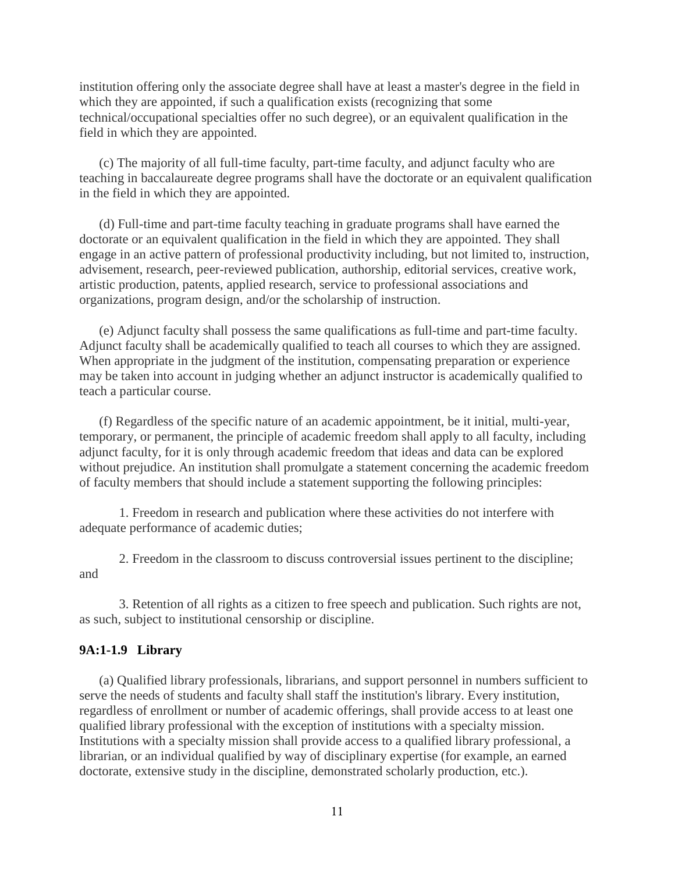institution offering only the associate degree shall have at least a master's degree in the field in which they are appointed, if such a qualification exists (recognizing that some technical/occupational specialties offer no such degree), or an equivalent qualification in the field in which they are appointed.

(c) The majority of all full-time faculty, part-time faculty, and adjunct faculty who are teaching in baccalaureate degree programs shall have the doctorate or an equivalent qualification in the field in which they are appointed.

(d) Full-time and part-time faculty teaching in graduate programs shall have earned the doctorate or an equivalent qualification in the field in which they are appointed. They shall engage in an active pattern of professional productivity including, but not limited to, instruction, advisement, research, peer-reviewed publication, authorship, editorial services, creative work, artistic production, patents, applied research, service to professional associations and organizations, program design, and/or the scholarship of instruction.

(e) Adjunct faculty shall possess the same qualifications as full-time and part-time faculty. Adjunct faculty shall be academically qualified to teach all courses to which they are assigned. When appropriate in the judgment of the institution, compensating preparation or experience may be taken into account in judging whether an adjunct instructor is academically qualified to teach a particular course.

(f) Regardless of the specific nature of an academic appointment, be it initial, multi-year, temporary, or permanent, the principle of academic freedom shall apply to all faculty, including adjunct faculty, for it is only through academic freedom that ideas and data can be explored without prejudice. An institution shall promulgate a statement concerning the academic freedom of faculty members that should include a statement supporting the following principles:

1. Freedom in research and publication where these activities do not interfere with adequate performance of academic duties;

2. Freedom in the classroom to discuss controversial issues pertinent to the discipline; and

3. Retention of all rights as a citizen to free speech and publication. Such rights are not, as such, subject to institutional censorship or discipline.

### **9A:1-1.9 Library**

(a) Qualified library professionals, librarians, and support personnel in numbers sufficient to serve the needs of students and faculty shall staff the institution's library. Every institution, regardless of enrollment or number of academic offerings, shall provide access to at least one qualified library professional with the exception of institutions with a specialty mission. Institutions with a specialty mission shall provide access to a qualified library professional, a librarian, or an individual qualified by way of disciplinary expertise (for example, an earned doctorate, extensive study in the discipline, demonstrated scholarly production, etc.).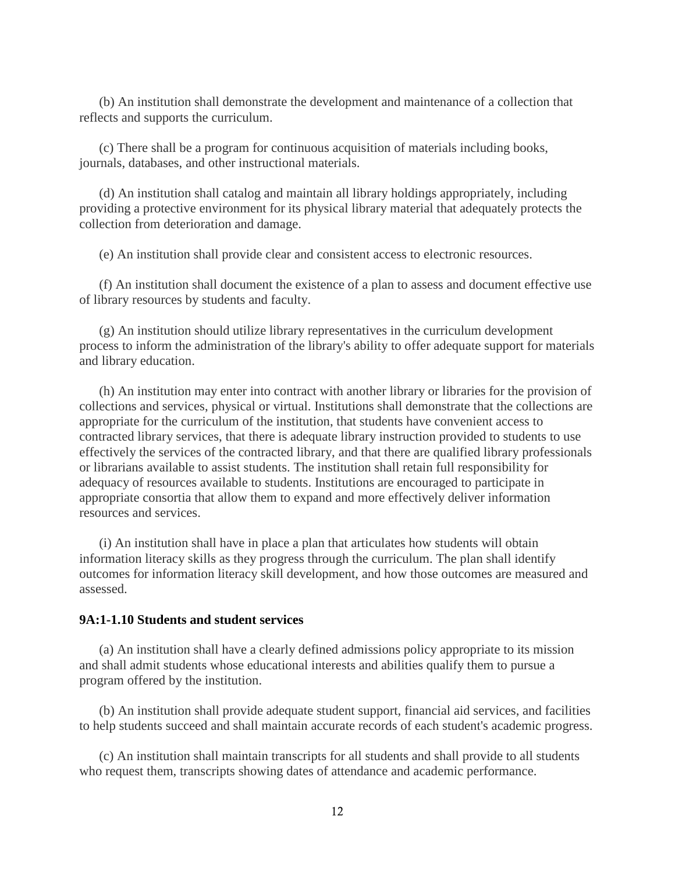(b) An institution shall demonstrate the development and maintenance of a collection that reflects and supports the curriculum.

(c) There shall be a program for continuous acquisition of materials including books, journals, databases, and other instructional materials.

(d) An institution shall catalog and maintain all library holdings appropriately, including providing a protective environment for its physical library material that adequately protects the collection from deterioration and damage.

(e) An institution shall provide clear and consistent access to electronic resources.

(f) An institution shall document the existence of a plan to assess and document effective use of library resources by students and faculty.

(g) An institution should utilize library representatives in the curriculum development process to inform the administration of the library's ability to offer adequate support for materials and library education.

(h) An institution may enter into contract with another library or libraries for the provision of collections and services, physical or virtual. Institutions shall demonstrate that the collections are appropriate for the curriculum of the institution, that students have convenient access to contracted library services, that there is adequate library instruction provided to students to use effectively the services of the contracted library, and that there are qualified library professionals or librarians available to assist students. The institution shall retain full responsibility for adequacy of resources available to students. Institutions are encouraged to participate in appropriate consortia that allow them to expand and more effectively deliver information resources and services.

(i) An institution shall have in place a plan that articulates how students will obtain information literacy skills as they progress through the curriculum. The plan shall identify outcomes for information literacy skill development, and how those outcomes are measured and assessed.

#### **9A:1-1.10 Students and student services**

(a) An institution shall have a clearly defined admissions policy appropriate to its mission and shall admit students whose educational interests and abilities qualify them to pursue a program offered by the institution.

(b) An institution shall provide adequate student support, financial aid services, and facilities to help students succeed and shall maintain accurate records of each student's academic progress.

(c) An institution shall maintain transcripts for all students and shall provide to all students who request them, transcripts showing dates of attendance and academic performance.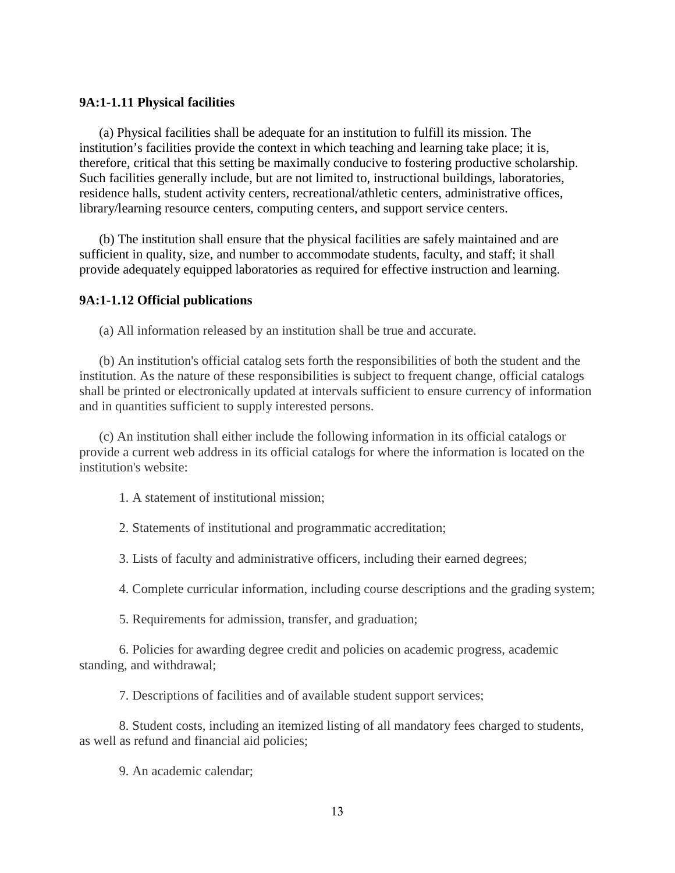### **9A:1-1.11 Physical facilities**

(a) Physical facilities shall be adequate for an institution to fulfill its mission. The institution's facilities provide the context in which teaching and learning take place; it is, therefore, critical that this setting be maximally conducive to fostering productive scholarship. Such facilities generally include, but are not limited to, instructional buildings, laboratories, residence halls, student activity centers, recreational/athletic centers, administrative offices, library/learning resource centers, computing centers, and support service centers.

(b) The institution shall ensure that the physical facilities are safely maintained and are sufficient in quality, size, and number to accommodate students, faculty, and staff; it shall provide adequately equipped laboratories as required for effective instruction and learning.

#### **9A:1-1.12 Official publications**

(a) All information released by an institution shall be true and accurate.

(b) An institution's official catalog sets forth the responsibilities of both the student and the institution. As the nature of these responsibilities is subject to frequent change, official catalogs shall be printed or electronically updated at intervals sufficient to ensure currency of information and in quantities sufficient to supply interested persons.

(c) An institution shall either include the following information in its official catalogs or provide a current web address in its official catalogs for where the information is located on the institution's website:

1. A statement of institutional mission;

2. Statements of institutional and programmatic accreditation;

3. Lists of faculty and administrative officers, including their earned degrees;

4. Complete curricular information, including course descriptions and the grading system;

5. Requirements for admission, transfer, and graduation;

6. Policies for awarding degree credit and policies on academic progress, academic standing, and withdrawal;

7. Descriptions of facilities and of available student support services;

8. Student costs, including an itemized listing of all mandatory fees charged to students, as well as refund and financial aid policies;

9. An academic calendar;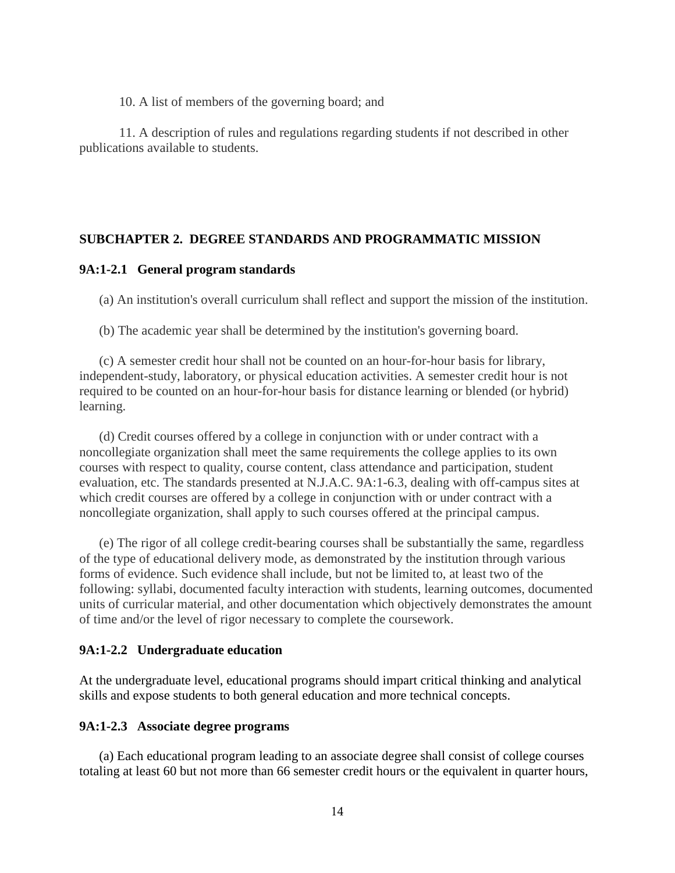10. A list of members of the governing board; and

11. A description of rules and regulations regarding students if not described in other publications available to students.

## **SUBCHAPTER 2. DEGREE STANDARDS AND PROGRAMMATIC MISSION**

### **9A:1-2.1 General program standards**

(a) An institution's overall curriculum shall reflect and support the mission of the institution.

(b) The academic year shall be determined by the institution's governing board.

(c) A semester credit hour shall not be counted on an hour-for-hour basis for library, independent-study, laboratory, or physical education activities. A semester credit hour is not required to be counted on an hour-for-hour basis for distance learning or blended (or hybrid) learning.

(d) Credit courses offered by a college in conjunction with or under contract with a noncollegiate organization shall meet the same requirements the college applies to its own courses with respect to quality, course content, class attendance and participation, student evaluation, etc. The standards presented at N.J.A.C. 9A:1-6.3, dealing with off-campus sites at which credit courses are offered by a college in conjunction with or under contract with a noncollegiate organization, shall apply to such courses offered at the principal campus.

(e) The rigor of all college credit-bearing courses shall be substantially the same, regardless of the type of educational delivery mode, as demonstrated by the institution through various forms of evidence. Such evidence shall include, but not be limited to, at least two of the following: syllabi, documented faculty interaction with students, learning outcomes, documented units of curricular material, and other documentation which objectively demonstrates the amount of time and/or the level of rigor necessary to complete the coursework.

#### **9A:1-2.2 Undergraduate education**

At the undergraduate level, educational programs should impart critical thinking and analytical skills and expose students to both general education and more technical concepts.

### **9A:1-2.3 Associate degree programs**

(a) Each educational program leading to an associate degree shall consist of college courses totaling at least 60 but not more than 66 semester credit hours or the equivalent in quarter hours,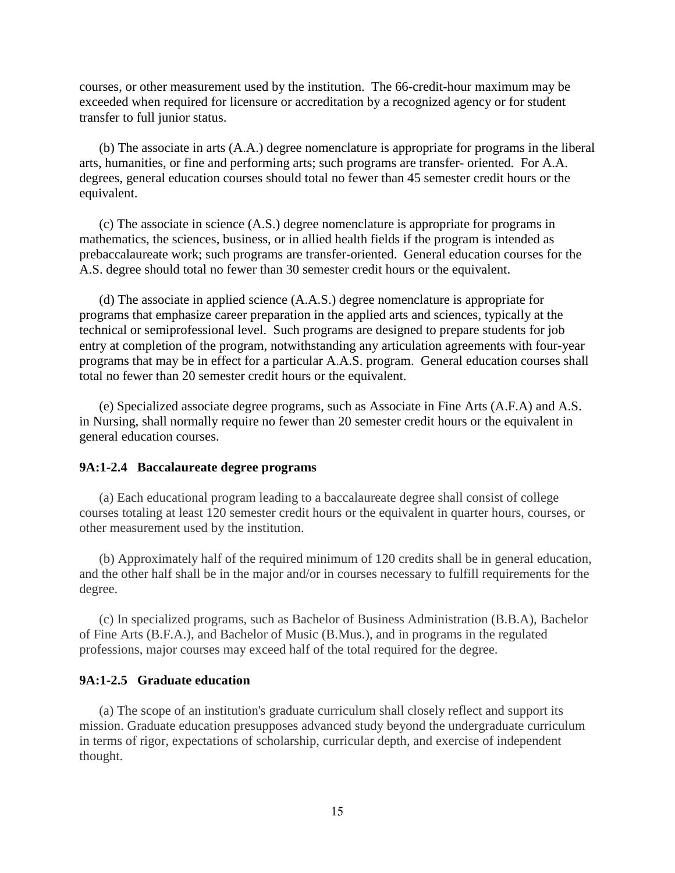courses, or other measurement used by the institution. The 66-credit-hour maximum may be exceeded when required for licensure or accreditation by a recognized agency or for student transfer to full junior status.

(b) The associate in arts (A.A.) degree nomenclature is appropriate for programs in the liberal arts, humanities, or fine and performing arts; such programs are transfer- oriented. For A.A. degrees, general education courses should total no fewer than 45 semester credit hours or the equivalent.

(c) The associate in science (A.S.) degree nomenclature is appropriate for programs in mathematics, the sciences, business, or in allied health fields if the program is intended as prebaccalaureate work; such programs are transfer-oriented. General education courses for the A.S. degree should total no fewer than 30 semester credit hours or the equivalent.

(d) The associate in applied science (A.A.S.) degree nomenclature is appropriate for programs that emphasize career preparation in the applied arts and sciences, typically at the technical or semiprofessional level. Such programs are designed to prepare students for job entry at completion of the program, notwithstanding any articulation agreements with four-year programs that may be in effect for a particular A.A.S. program. General education courses shall total no fewer than 20 semester credit hours or the equivalent.

(e) Specialized associate degree programs, such as Associate in Fine Arts (A.F.A) and A.S. in Nursing, shall normally require no fewer than 20 semester credit hours or the equivalent in general education courses.

### **9A:1-2.4 Baccalaureate degree programs**

(a) Each educational program leading to a baccalaureate degree shall consist of college courses totaling at least 120 semester credit hours or the equivalent in quarter hours, courses, or other measurement used by the institution.

(b) Approximately half of the required minimum of 120 credits shall be in general education, and the other half shall be in the major and/or in courses necessary to fulfill requirements for the degree.

(c) In specialized programs, such as Bachelor of Business Administration (B.B.A), Bachelor of Fine Arts (B.F.A.), and Bachelor of Music (B.Mus.), and in programs in the regulated professions, major courses may exceed half of the total required for the degree.

### **9A:1-2.5 Graduate education**

(a) The scope of an institution's graduate curriculum shall closely reflect and support its mission. Graduate education presupposes advanced study beyond the undergraduate curriculum in terms of rigor, expectations of scholarship, curricular depth, and exercise of independent thought.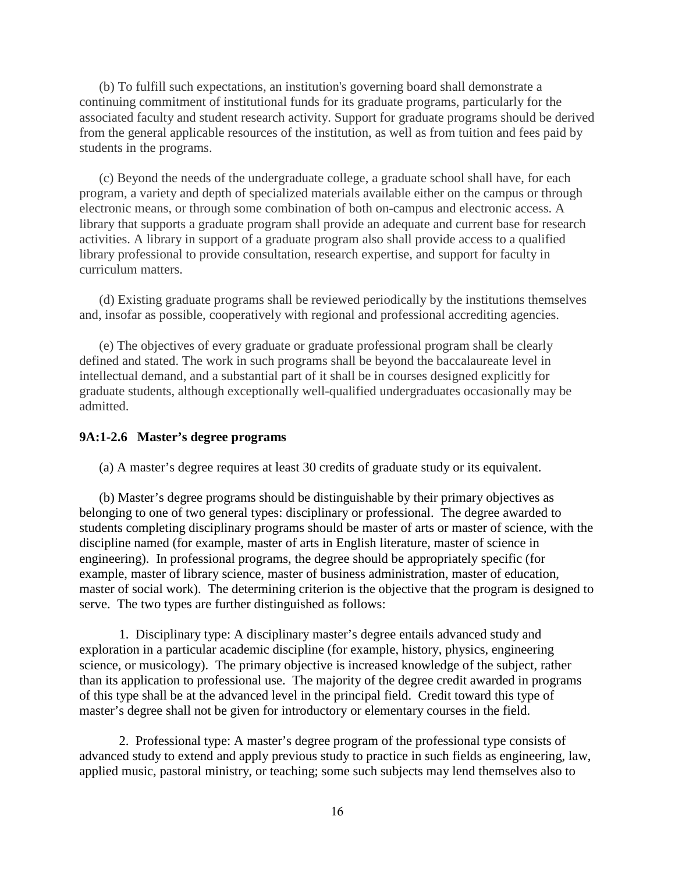(b) To fulfill such expectations, an institution's governing board shall demonstrate a continuing commitment of institutional funds for its graduate programs, particularly for the associated faculty and student research activity. Support for graduate programs should be derived from the general applicable resources of the institution, as well as from tuition and fees paid by students in the programs.

(c) Beyond the needs of the undergraduate college, a graduate school shall have, for each program, a variety and depth of specialized materials available either on the campus or through electronic means, or through some combination of both on-campus and electronic access. A library that supports a graduate program shall provide an adequate and current base for research activities. A library in support of a graduate program also shall provide access to a qualified library professional to provide consultation, research expertise, and support for faculty in curriculum matters.

(d) Existing graduate programs shall be reviewed periodically by the institutions themselves and, insofar as possible, cooperatively with regional and professional accrediting agencies.

(e) The objectives of every graduate or graduate professional program shall be clearly defined and stated. The work in such programs shall be beyond the baccalaureate level in intellectual demand, and a substantial part of it shall be in courses designed explicitly for graduate students, although exceptionally well-qualified undergraduates occasionally may be admitted.

#### **9A:1-2.6 Master's degree programs**

(a) A master's degree requires at least 30 credits of graduate study or its equivalent.

(b) Master's degree programs should be distinguishable by their primary objectives as belonging to one of two general types: disciplinary or professional. The degree awarded to students completing disciplinary programs should be master of arts or master of science, with the discipline named (for example, master of arts in English literature, master of science in engineering). In professional programs, the degree should be appropriately specific (for example, master of library science, master of business administration, master of education, master of social work). The determining criterion is the objective that the program is designed to serve. The two types are further distinguished as follows:

1. Disciplinary type: A disciplinary master's degree entails advanced study and exploration in a particular academic discipline (for example, history, physics, engineering science, or musicology). The primary objective is increased knowledge of the subject, rather than its application to professional use. The majority of the degree credit awarded in programs of this type shall be at the advanced level in the principal field. Credit toward this type of master's degree shall not be given for introductory or elementary courses in the field.

2. Professional type: A master's degree program of the professional type consists of advanced study to extend and apply previous study to practice in such fields as engineering, law, applied music, pastoral ministry, or teaching; some such subjects may lend themselves also to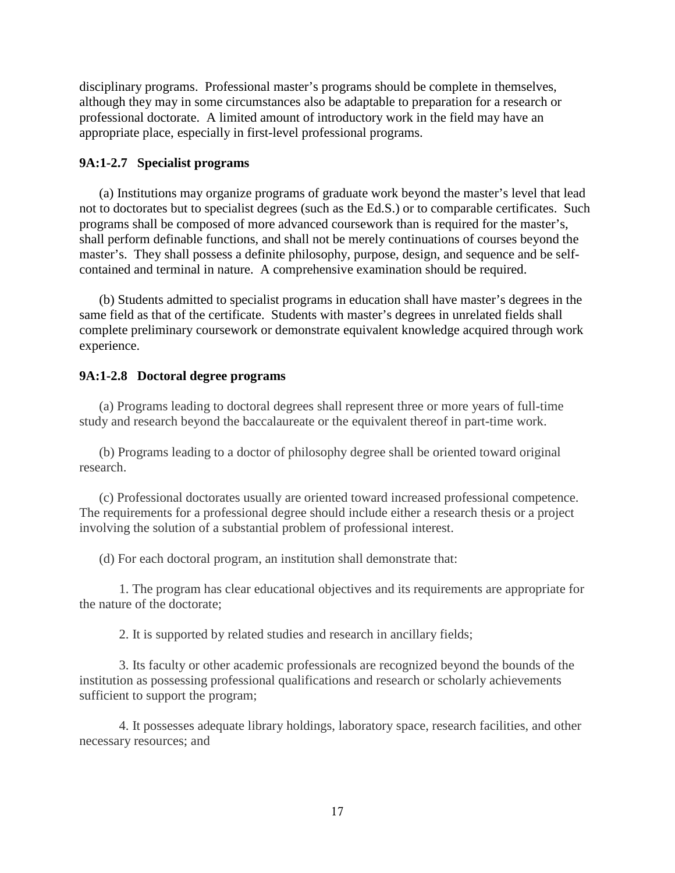disciplinary programs. Professional master's programs should be complete in themselves, although they may in some circumstances also be adaptable to preparation for a research or professional doctorate. A limited amount of introductory work in the field may have an appropriate place, especially in first-level professional programs.

# **9A:1-2.7 Specialist programs**

(a) Institutions may organize programs of graduate work beyond the master's level that lead not to doctorates but to specialist degrees (such as the Ed.S.) or to comparable certificates. Such programs shall be composed of more advanced coursework than is required for the master's, shall perform definable functions, and shall not be merely continuations of courses beyond the master's. They shall possess a definite philosophy, purpose, design, and sequence and be selfcontained and terminal in nature. A comprehensive examination should be required.

(b) Students admitted to specialist programs in education shall have master's degrees in the same field as that of the certificate. Students with master's degrees in unrelated fields shall complete preliminary coursework or demonstrate equivalent knowledge acquired through work experience.

# **9A:1-2.8 Doctoral degree programs**

(a) Programs leading to doctoral degrees shall represent three or more years of full-time study and research beyond the baccalaureate or the equivalent thereof in part-time work.

(b) Programs leading to a doctor of philosophy degree shall be oriented toward original research.

(c) Professional doctorates usually are oriented toward increased professional competence. The requirements for a professional degree should include either a research thesis or a project involving the solution of a substantial problem of professional interest.

(d) For each doctoral program, an institution shall demonstrate that:

1. The program has clear educational objectives and its requirements are appropriate for the nature of the doctorate;

2. It is supported by related studies and research in ancillary fields;

3. Its faculty or other academic professionals are recognized beyond the bounds of the institution as possessing professional qualifications and research or scholarly achievements sufficient to support the program;

4. It possesses adequate library holdings, laboratory space, research facilities, and other necessary resources; and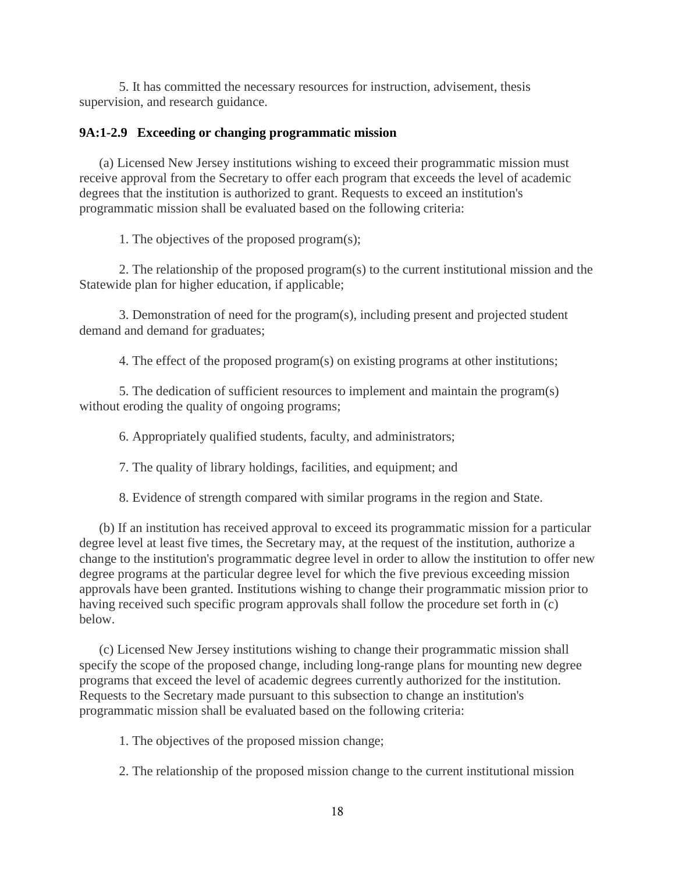5. It has committed the necessary resources for instruction, advisement, thesis supervision, and research guidance.

# **9A:1-2.9 Exceeding or changing programmatic mission**

(a) Licensed New Jersey institutions wishing to exceed their programmatic mission must receive approval from the Secretary to offer each program that exceeds the level of academic degrees that the institution is authorized to grant. Requests to exceed an institution's programmatic mission shall be evaluated based on the following criteria:

1. The objectives of the proposed program(s);

2. The relationship of the proposed program(s) to the current institutional mission and the Statewide plan for higher education, if applicable;

3. Demonstration of need for the program(s), including present and projected student demand and demand for graduates;

4. The effect of the proposed program(s) on existing programs at other institutions;

5. The dedication of sufficient resources to implement and maintain the program(s) without eroding the quality of ongoing programs;

6. Appropriately qualified students, faculty, and administrators;

7. The quality of library holdings, facilities, and equipment; and

8. Evidence of strength compared with similar programs in the region and State.

(b) If an institution has received approval to exceed its programmatic mission for a particular degree level at least five times, the Secretary may, at the request of the institution, authorize a change to the institution's programmatic degree level in order to allow the institution to offer new degree programs at the particular degree level for which the five previous exceeding mission approvals have been granted. Institutions wishing to change their programmatic mission prior to having received such specific program approvals shall follow the procedure set forth in (c) below.

(c) Licensed New Jersey institutions wishing to change their programmatic mission shall specify the scope of the proposed change, including long-range plans for mounting new degree programs that exceed the level of academic degrees currently authorized for the institution. Requests to the Secretary made pursuant to this subsection to change an institution's programmatic mission shall be evaluated based on the following criteria:

1. The objectives of the proposed mission change;

2. The relationship of the proposed mission change to the current institutional mission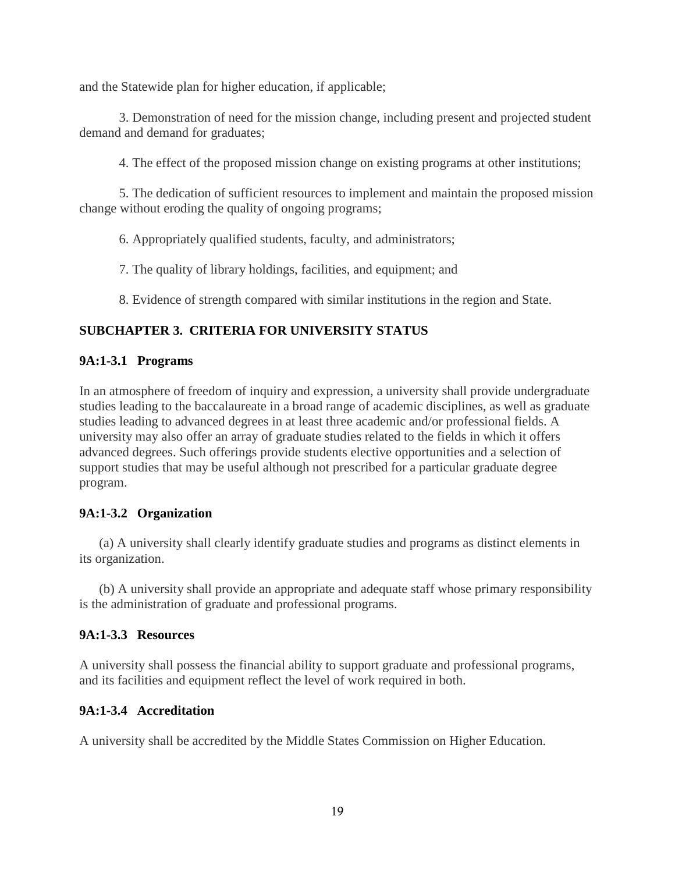and the Statewide plan for higher education, if applicable;

3. Demonstration of need for the mission change, including present and projected student demand and demand for graduates;

4. The effect of the proposed mission change on existing programs at other institutions;

5. The dedication of sufficient resources to implement and maintain the proposed mission change without eroding the quality of ongoing programs;

6. Appropriately qualified students, faculty, and administrators;

7. The quality of library holdings, facilities, and equipment; and

8. Evidence of strength compared with similar institutions in the region and State.

# **SUBCHAPTER 3. CRITERIA FOR UNIVERSITY STATUS**

# **9A:1-3.1 Programs**

In an atmosphere of freedom of inquiry and expression, a university shall provide undergraduate studies leading to the baccalaureate in a broad range of academic disciplines, as well as graduate studies leading to advanced degrees in at least three academic and/or professional fields. A university may also offer an array of graduate studies related to the fields in which it offers advanced degrees. Such offerings provide students elective opportunities and a selection of support studies that may be useful although not prescribed for a particular graduate degree program.

# **9A:1-3.2 Organization**

(a) A university shall clearly identify graduate studies and programs as distinct elements in its organization.

(b) A university shall provide an appropriate and adequate staff whose primary responsibility is the administration of graduate and professional programs.

# **9A:1-3.3 Resources**

A university shall possess the financial ability to support graduate and professional programs, and its facilities and equipment reflect the level of work required in both.

# **9A:1-3.4 Accreditation**

A university shall be accredited by the Middle States Commission on Higher Education.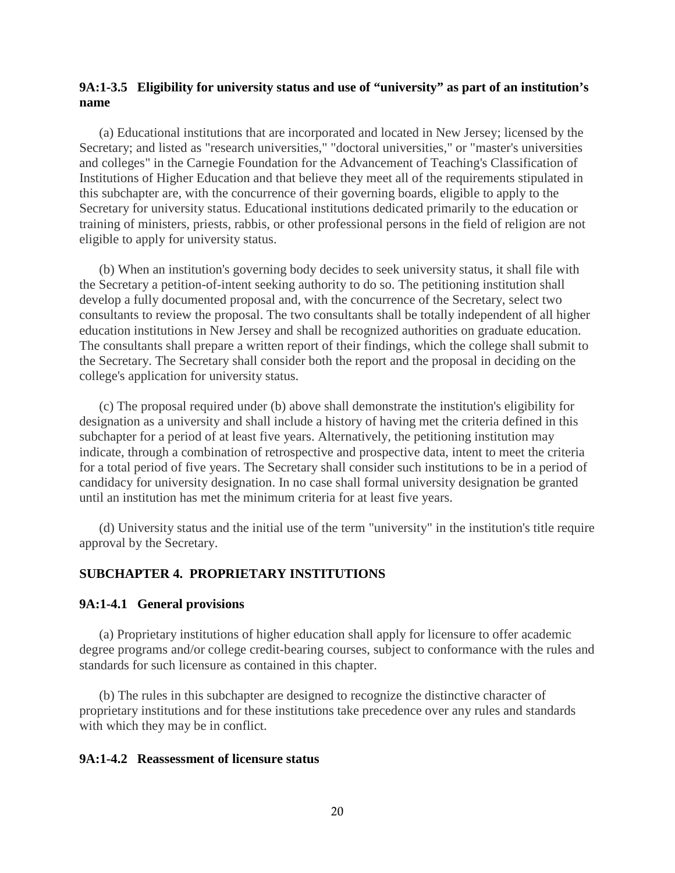## **9A:1-3.5 Eligibility for university status and use of "university" as part of an institution's name**

(a) Educational institutions that are incorporated and located in New Jersey; licensed by the Secretary; and listed as "research universities," "doctoral universities," or "master's universities and colleges" in the Carnegie Foundation for the Advancement of Teaching's Classification of Institutions of Higher Education and that believe they meet all of the requirements stipulated in this subchapter are, with the concurrence of their governing boards, eligible to apply to the Secretary for university status. Educational institutions dedicated primarily to the education or training of ministers, priests, rabbis, or other professional persons in the field of religion are not eligible to apply for university status.

(b) When an institution's governing body decides to seek university status, it shall file with the Secretary a petition-of-intent seeking authority to do so. The petitioning institution shall develop a fully documented proposal and, with the concurrence of the Secretary, select two consultants to review the proposal. The two consultants shall be totally independent of all higher education institutions in New Jersey and shall be recognized authorities on graduate education. The consultants shall prepare a written report of their findings, which the college shall submit to the Secretary. The Secretary shall consider both the report and the proposal in deciding on the college's application for university status.

(c) The proposal required under (b) above shall demonstrate the institution's eligibility for designation as a university and shall include a history of having met the criteria defined in this subchapter for a period of at least five years. Alternatively, the petitioning institution may indicate, through a combination of retrospective and prospective data, intent to meet the criteria for a total period of five years. The Secretary shall consider such institutions to be in a period of candidacy for university designation. In no case shall formal university designation be granted until an institution has met the minimum criteria for at least five years.

(d) University status and the initial use of the term "university" in the institution's title require approval by the Secretary.

### **SUBCHAPTER 4. PROPRIETARY INSTITUTIONS**

#### **9A:1-4.1 General provisions**

(a) Proprietary institutions of higher education shall apply for licensure to offer academic degree programs and/or college credit-bearing courses, subject to conformance with the rules and standards for such licensure as contained in this chapter.

(b) The rules in this subchapter are designed to recognize the distinctive character of proprietary institutions and for these institutions take precedence over any rules and standards with which they may be in conflict.

### **9A:1-4.2 Reassessment of licensure status**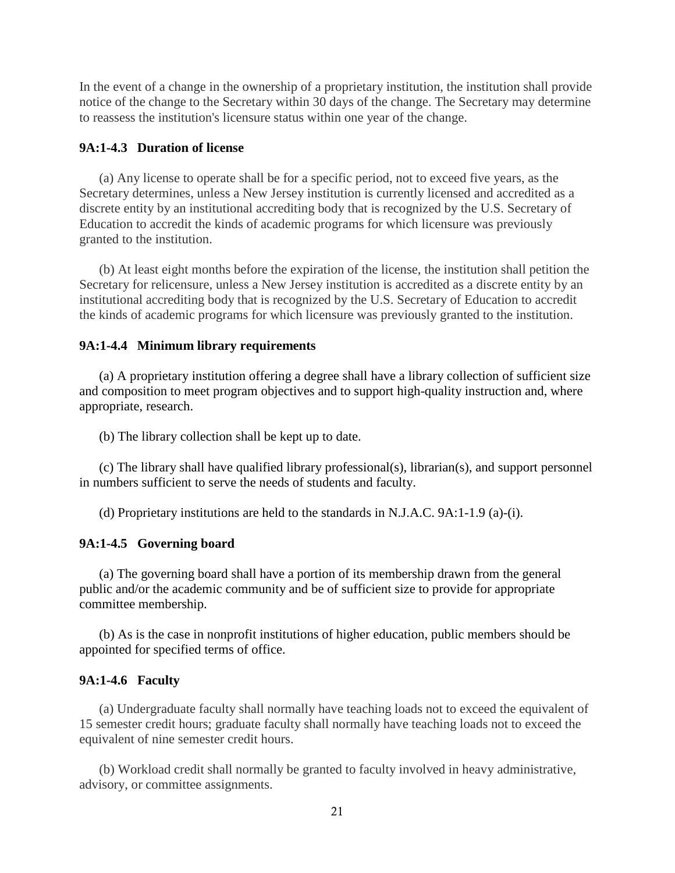In the event of a change in the ownership of a proprietary institution, the institution shall provide notice of the change to the Secretary within 30 days of the change. The Secretary may determine to reassess the institution's licensure status within one year of the change.

### **9A:1-4.3 Duration of license**

(a) Any license to operate shall be for a specific period, not to exceed five years, as the Secretary determines, unless a New Jersey institution is currently licensed and accredited as a discrete entity by an institutional accrediting body that is recognized by the U.S. Secretary of Education to accredit the kinds of academic programs for which licensure was previously granted to the institution.

(b) At least eight months before the expiration of the license, the institution shall petition the Secretary for relicensure, unless a New Jersey institution is accredited as a discrete entity by an institutional accrediting body that is recognized by the U.S. Secretary of Education to accredit the kinds of academic programs for which licensure was previously granted to the institution.

#### **9A:1-4.4 Minimum library requirements**

(a) A proprietary institution offering a degree shall have a library collection of sufficient size and composition to meet program objectives and to support high-quality instruction and, where appropriate, research.

(b) The library collection shall be kept up to date.

(c) The library shall have qualified library professional(s), librarian(s), and support personnel in numbers sufficient to serve the needs of students and faculty.

(d) Proprietary institutions are held to the standards in N.J.A.C. 9A:1-1.9 (a)-(i).

## **9A:1-4.5 Governing board**

(a) The governing board shall have a portion of its membership drawn from the general public and/or the academic community and be of sufficient size to provide for appropriate committee membership.

(b) As is the case in nonprofit institutions of higher education, public members should be appointed for specified terms of office.

#### **9A:1-4.6 Faculty**

(a) Undergraduate faculty shall normally have teaching loads not to exceed the equivalent of 15 semester credit hours; graduate faculty shall normally have teaching loads not to exceed the equivalent of nine semester credit hours.

(b) Workload credit shall normally be granted to faculty involved in heavy administrative, advisory, or committee assignments.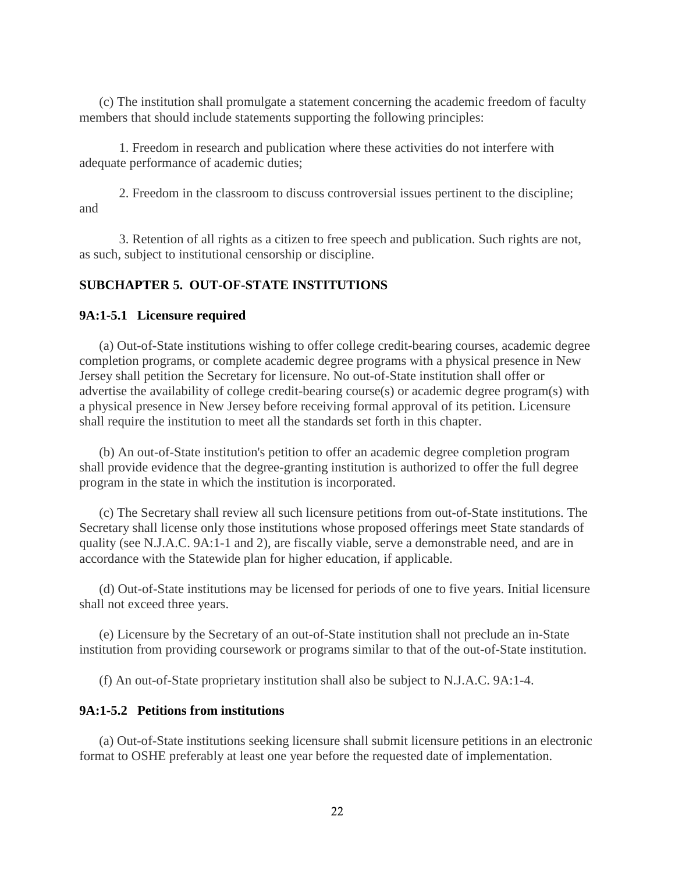(c) The institution shall promulgate a statement concerning the academic freedom of faculty members that should include statements supporting the following principles:

1. Freedom in research and publication where these activities do not interfere with adequate performance of academic duties;

2. Freedom in the classroom to discuss controversial issues pertinent to the discipline; and

3. Retention of all rights as a citizen to free speech and publication. Such rights are not, as such, subject to institutional censorship or discipline.

## **SUBCHAPTER 5. OUT-OF-STATE INSTITUTIONS**

#### **9A:1-5.1 Licensure required**

(a) Out-of-State institutions wishing to offer college credit-bearing courses, academic degree completion programs, or complete academic degree programs with a physical presence in New Jersey shall petition the Secretary for licensure. No out-of-State institution shall offer or advertise the availability of college credit-bearing course(s) or academic degree program(s) with a physical presence in New Jersey before receiving formal approval of its petition. Licensure shall require the institution to meet all the standards set forth in this chapter.

(b) An out-of-State institution's petition to offer an academic degree completion program shall provide evidence that the degree-granting institution is authorized to offer the full degree program in the state in which the institution is incorporated.

(c) The Secretary shall review all such licensure petitions from out-of-State institutions. The Secretary shall license only those institutions whose proposed offerings meet State standards of quality (see N.J.A.C. 9A:1-1 and 2), are fiscally viable, serve a demonstrable need, and are in accordance with the Statewide plan for higher education, if applicable.

(d) Out-of-State institutions may be licensed for periods of one to five years. Initial licensure shall not exceed three years.

(e) Licensure by the Secretary of an out-of-State institution shall not preclude an in-State institution from providing coursework or programs similar to that of the out-of-State institution.

(f) An out-of-State proprietary institution shall also be subject to N.J.A.C. 9A:1-4.

### **9A:1-5.2 Petitions from institutions**

(a) Out-of-State institutions seeking licensure shall submit licensure petitions in an electronic format to OSHE preferably at least one year before the requested date of implementation.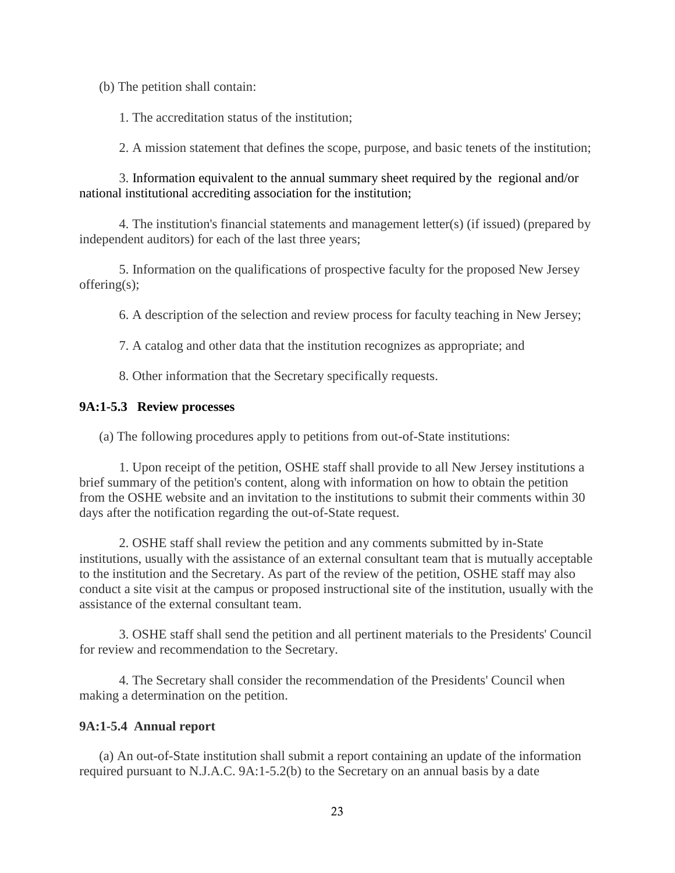(b) The petition shall contain:

1. The accreditation status of the institution;

2. A mission statement that defines the scope, purpose, and basic tenets of the institution;

3. Information equivalent to the annual summary sheet required by the regional and/or national institutional accrediting association for the institution;

4. The institution's financial statements and management letter(s) (if issued) (prepared by independent auditors) for each of the last three years;

5. Information on the qualifications of prospective faculty for the proposed New Jersey offering(s);

6. A description of the selection and review process for faculty teaching in New Jersey;

7. A catalog and other data that the institution recognizes as appropriate; and

8. Other information that the Secretary specifically requests.

## **9A:1-5.3 Review processes**

(a) The following procedures apply to petitions from out-of-State institutions:

1. Upon receipt of the petition, OSHE staff shall provide to all New Jersey institutions a brief summary of the petition's content, along with information on how to obtain the petition from the OSHE website and an invitation to the institutions to submit their comments within 30 days after the notification regarding the out-of-State request.

2. OSHE staff shall review the petition and any comments submitted by in-State institutions, usually with the assistance of an external consultant team that is mutually acceptable to the institution and the Secretary. As part of the review of the petition, OSHE staff may also conduct a site visit at the campus or proposed instructional site of the institution, usually with the assistance of the external consultant team.

3. OSHE staff shall send the petition and all pertinent materials to the Presidents' Council for review and recommendation to the Secretary.

4. The Secretary shall consider the recommendation of the Presidents' Council when making a determination on the petition.

## **9A:1-5.4 Annual report**

(a) An out-of-State institution shall submit a report containing an update of the information required pursuant to N.J.A.C. 9A:1-5.2(b) to the Secretary on an annual basis by a date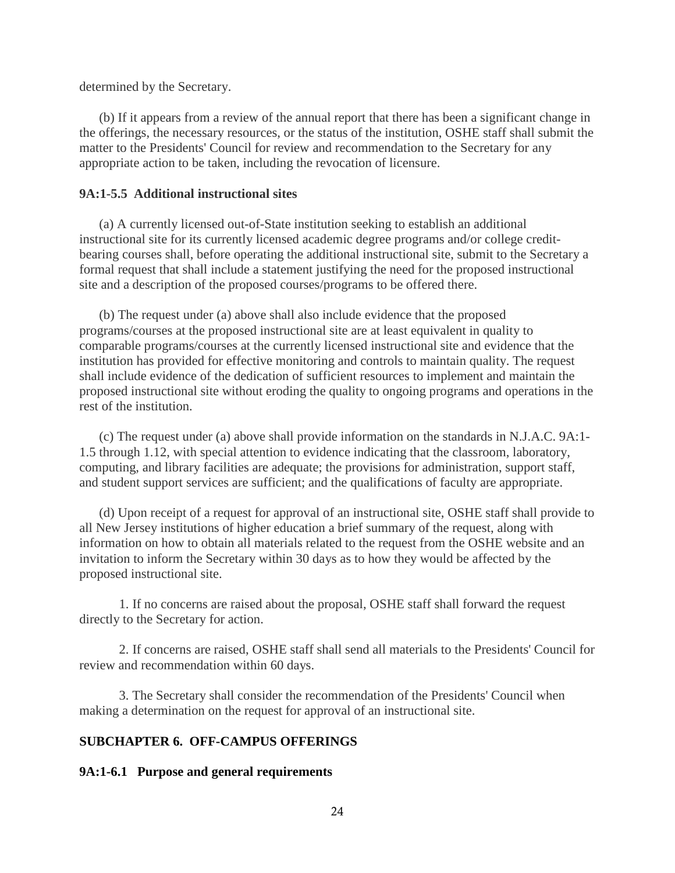determined by the Secretary.

(b) If it appears from a review of the annual report that there has been a significant change in the offerings, the necessary resources, or the status of the institution, OSHE staff shall submit the matter to the Presidents' Council for review and recommendation to the Secretary for any appropriate action to be taken, including the revocation of licensure.

### **9A:1-5.5 Additional instructional sites**

(a) A currently licensed out-of-State institution seeking to establish an additional instructional site for its currently licensed academic degree programs and/or college creditbearing courses shall, before operating the additional instructional site, submit to the Secretary a formal request that shall include a statement justifying the need for the proposed instructional site and a description of the proposed courses/programs to be offered there.

(b) The request under (a) above shall also include evidence that the proposed programs/courses at the proposed instructional site are at least equivalent in quality to comparable programs/courses at the currently licensed instructional site and evidence that the institution has provided for effective monitoring and controls to maintain quality. The request shall include evidence of the dedication of sufficient resources to implement and maintain the proposed instructional site without eroding the quality to ongoing programs and operations in the rest of the institution.

(c) The request under (a) above shall provide information on the standards in N.J.A.C. 9A:1- 1.5 through 1.12, with special attention to evidence indicating that the classroom, laboratory, computing, and library facilities are adequate; the provisions for administration, support staff, and student support services are sufficient; and the qualifications of faculty are appropriate.

(d) Upon receipt of a request for approval of an instructional site, OSHE staff shall provide to all New Jersey institutions of higher education a brief summary of the request, along with information on how to obtain all materials related to the request from the OSHE website and an invitation to inform the Secretary within 30 days as to how they would be affected by the proposed instructional site.

1. If no concerns are raised about the proposal, OSHE staff shall forward the request directly to the Secretary for action.

2. If concerns are raised, OSHE staff shall send all materials to the Presidents' Council for review and recommendation within 60 days.

3. The Secretary shall consider the recommendation of the Presidents' Council when making a determination on the request for approval of an instructional site.

# **SUBCHAPTER 6. OFF-CAMPUS OFFERINGS**

### **9A:1-6.1 Purpose and general requirements**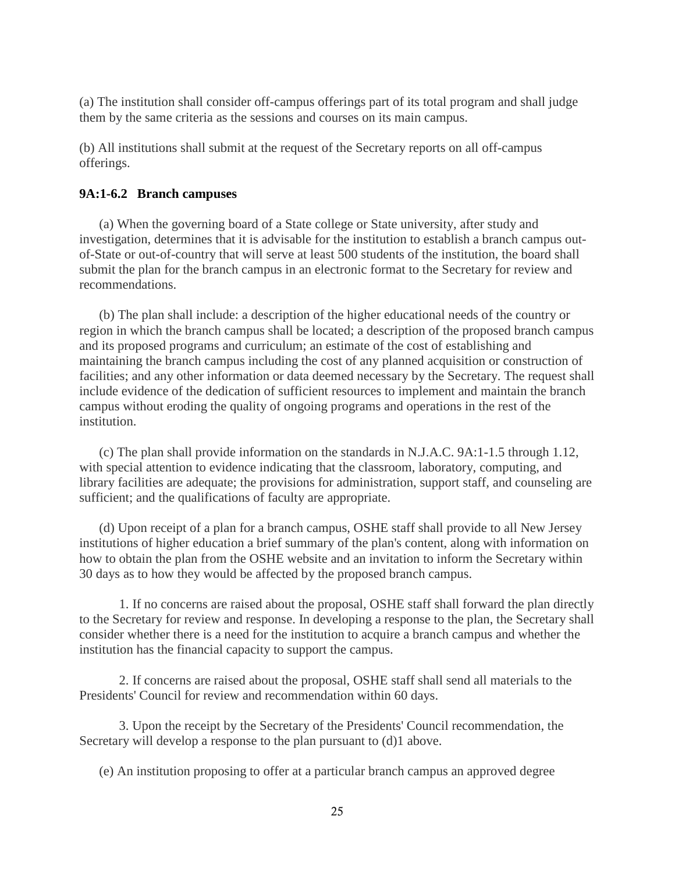(a) The institution shall consider off-campus offerings part of its total program and shall judge them by the same criteria as the sessions and courses on its main campus.

(b) All institutions shall submit at the request of the Secretary reports on all off-campus offerings.

## **9A:1-6.2 Branch campuses**

(a) When the governing board of a State college or State university, after study and investigation, determines that it is advisable for the institution to establish a branch campus outof-State or out-of-country that will serve at least 500 students of the institution, the board shall submit the plan for the branch campus in an electronic format to the Secretary for review and recommendations.

(b) The plan shall include: a description of the higher educational needs of the country or region in which the branch campus shall be located; a description of the proposed branch campus and its proposed programs and curriculum; an estimate of the cost of establishing and maintaining the branch campus including the cost of any planned acquisition or construction of facilities; and any other information or data deemed necessary by the Secretary. The request shall include evidence of the dedication of sufficient resources to implement and maintain the branch campus without eroding the quality of ongoing programs and operations in the rest of the institution.

(c) The plan shall provide information on the standards in N.J.A.C. 9A:1-1.5 through 1.12, with special attention to evidence indicating that the classroom, laboratory, computing, and library facilities are adequate; the provisions for administration, support staff, and counseling are sufficient; and the qualifications of faculty are appropriate.

(d) Upon receipt of a plan for a branch campus, OSHE staff shall provide to all New Jersey institutions of higher education a brief summary of the plan's content, along with information on how to obtain the plan from the OSHE website and an invitation to inform the Secretary within 30 days as to how they would be affected by the proposed branch campus.

1. If no concerns are raised about the proposal, OSHE staff shall forward the plan directly to the Secretary for review and response. In developing a response to the plan, the Secretary shall consider whether there is a need for the institution to acquire a branch campus and whether the institution has the financial capacity to support the campus.

2. If concerns are raised about the proposal, OSHE staff shall send all materials to the Presidents' Council for review and recommendation within 60 days.

3. Upon the receipt by the Secretary of the Presidents' Council recommendation, the Secretary will develop a response to the plan pursuant to (d)1 above.

(e) An institution proposing to offer at a particular branch campus an approved degree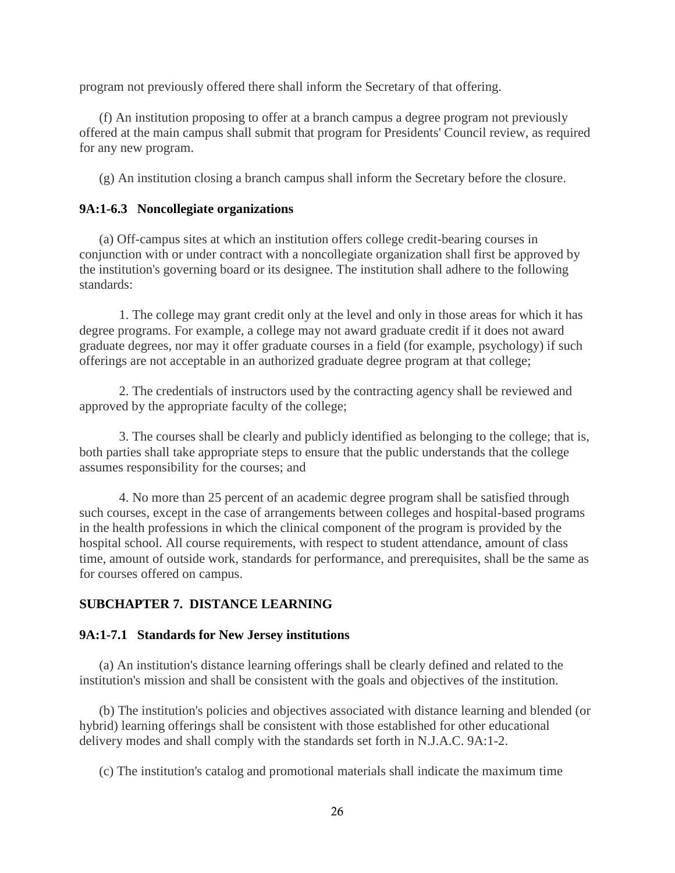program not previously offered there shall inform the Secretary of that offering.

(f) An institution proposing to offer at a branch campus a degree program not previously offered at the main campus shall submit that program for Presidents' Council review, as required for any new program.

(g) An institution closing a branch campus shall inform the Secretary before the closure.

# **9A:1-6.3 Noncollegiate organizations**

(a) Off-campus sites at which an institution offers college credit-bearing courses in conjunction with or under contract with a noncollegiate organization shall first be approved by the institution's governing board or its designee. The institution shall adhere to the following standards:

1. The college may grant credit only at the level and only in those areas for which it has degree programs. For example, a college may not award graduate credit if it does not award graduate degrees, nor may it offer graduate courses in a field (for example, psychology) if such offerings are not acceptable in an authorized graduate degree program at that college;

2. The credentials of instructors used by the contracting agency shall be reviewed and approved by the appropriate faculty of the college;

3. The courses shall be clearly and publicly identified as belonging to the college; that is, both parties shall take appropriate steps to ensure that the public understands that the college assumes responsibility for the courses; and

4. No more than 25 percent of an academic degree program shall be satisfied through such courses, except in the case of arrangements between colleges and hospital-based programs in the health professions in which the clinical component of the program is provided by the hospital school. All course requirements, with respect to student attendance, amount of class time, amount of outside work, standards for performance, and prerequisites, shall be the same as for courses offered on campus.

# **SUBCHAPTER 7. DISTANCE LEARNING**

## **9A:1-7.1 Standards for New Jersey institutions**

(a) An institution's distance learning offerings shall be clearly defined and related to the institution's mission and shall be consistent with the goals and objectives of the institution.

(b) The institution's policies and objectives associated with distance learning and blended (or hybrid) learning offerings shall be consistent with those established for other educational delivery modes and shall comply with the standards set forth in N.J.A.C. 9A:1-2.

(c) The institution's catalog and promotional materials shall indicate the maximum time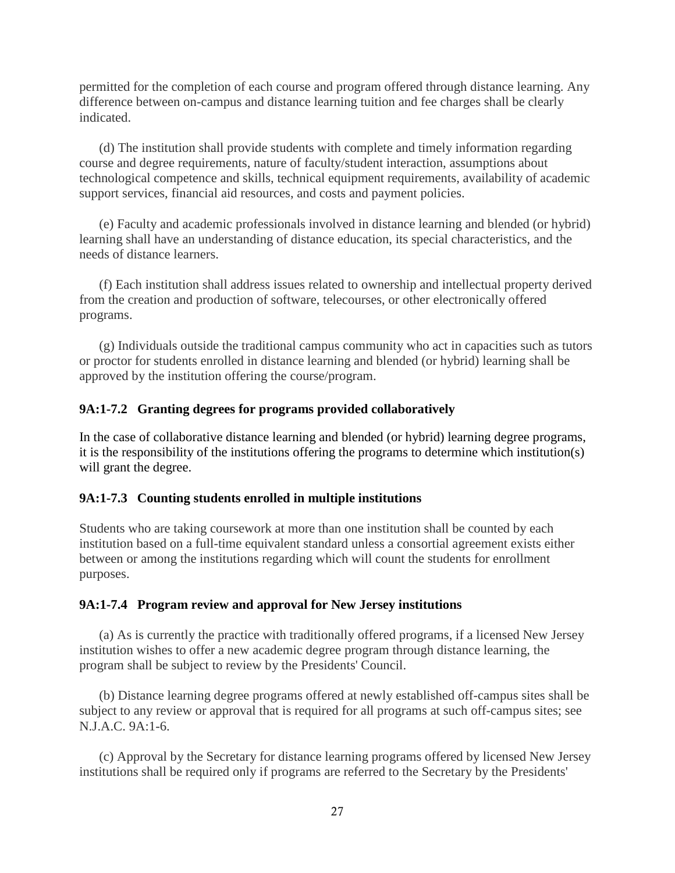permitted for the completion of each course and program offered through distance learning. Any difference between on-campus and distance learning tuition and fee charges shall be clearly indicated.

(d) The institution shall provide students with complete and timely information regarding course and degree requirements, nature of faculty/student interaction, assumptions about technological competence and skills, technical equipment requirements, availability of academic support services, financial aid resources, and costs and payment policies.

(e) Faculty and academic professionals involved in distance learning and blended (or hybrid) learning shall have an understanding of distance education, its special characteristics, and the needs of distance learners.

(f) Each institution shall address issues related to ownership and intellectual property derived from the creation and production of software, telecourses, or other electronically offered programs.

(g) Individuals outside the traditional campus community who act in capacities such as tutors or proctor for students enrolled in distance learning and blended (or hybrid) learning shall be approved by the institution offering the course/program.

# **9A:1-7.2 Granting degrees for programs provided collaboratively**

In the case of collaborative distance learning and blended (or hybrid) learning degree programs, it is the responsibility of the institutions offering the programs to determine which institution(s) will grant the degree.

## **9A:1-7.3 Counting students enrolled in multiple institutions**

Students who are taking coursework at more than one institution shall be counted by each institution based on a full-time equivalent standard unless a consortial agreement exists either between or among the institutions regarding which will count the students for enrollment purposes.

## **9A:1-7.4 Program review and approval for New Jersey institutions**

(a) As is currently the practice with traditionally offered programs, if a licensed New Jersey institution wishes to offer a new academic degree program through distance learning, the program shall be subject to review by the Presidents' Council.

(b) Distance learning degree programs offered at newly established off-campus sites shall be subject to any review or approval that is required for all programs at such off-campus sites; see N.J.A.C. 9A:1-6.

(c) Approval by the Secretary for distance learning programs offered by licensed New Jersey institutions shall be required only if programs are referred to the Secretary by the Presidents'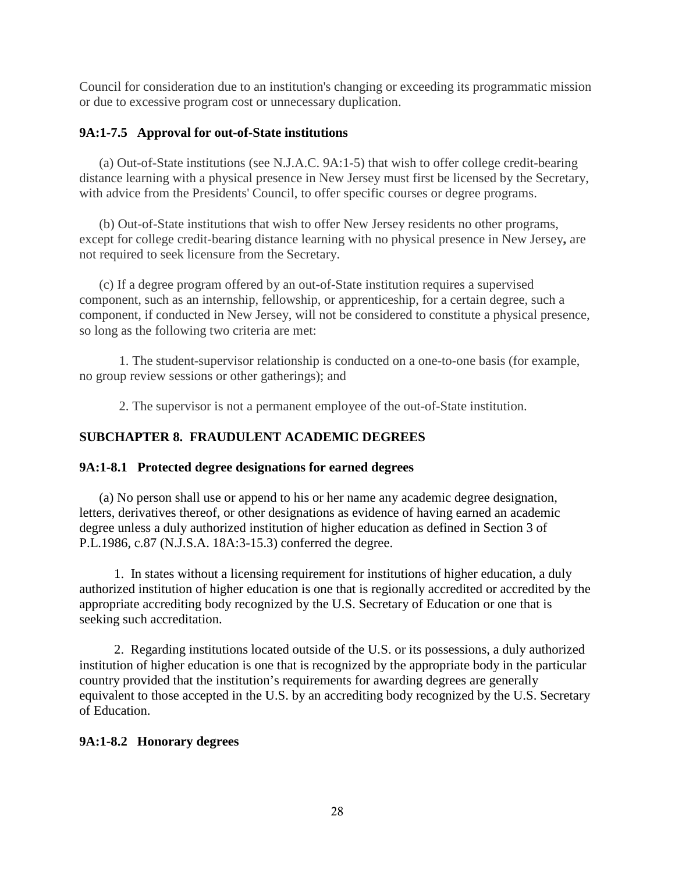Council for consideration due to an institution's changing or exceeding its programmatic mission or due to excessive program cost or unnecessary duplication.

# **9A:1-7.5 Approval for out-of-State institutions**

(a) Out-of-State institutions (see N.J.A.C. 9A:1-5) that wish to offer college credit-bearing distance learning with a physical presence in New Jersey must first be licensed by the Secretary, with advice from the Presidents' Council, to offer specific courses or degree programs.

(b) Out-of-State institutions that wish to offer New Jersey residents no other programs, except for college credit-bearing distance learning with no physical presence in New Jersey**,** are not required to seek licensure from the Secretary.

(c) If a degree program offered by an out-of-State institution requires a supervised component, such as an internship, fellowship, or apprenticeship, for a certain degree, such a component, if conducted in New Jersey, will not be considered to constitute a physical presence, so long as the following two criteria are met:

1. The student-supervisor relationship is conducted on a one-to-one basis (for example, no group review sessions or other gatherings); and

2. The supervisor is not a permanent employee of the out-of-State institution.

# **SUBCHAPTER 8. FRAUDULENT ACADEMIC DEGREES**

## **9A:1-8.1 Protected degree designations for earned degrees**

(a) No person shall use or append to his or her name any academic degree designation, letters, derivatives thereof, or other designations as evidence of having earned an academic degree unless a duly authorized institution of higher education as defined in Section 3 of P.L.1986, c.87 (N.J.S.A. 18A:3-15.3) conferred the degree.

1. In states without a licensing requirement for institutions of higher education, a duly authorized institution of higher education is one that is regionally accredited or accredited by the appropriate accrediting body recognized by the U.S. Secretary of Education or one that is seeking such accreditation.

2. Regarding institutions located outside of the U.S. or its possessions, a duly authorized institution of higher education is one that is recognized by the appropriate body in the particular country provided that the institution's requirements for awarding degrees are generally equivalent to those accepted in the U.S. by an accrediting body recognized by the U.S. Secretary of Education.

## **9A:1-8.2 Honorary degrees**